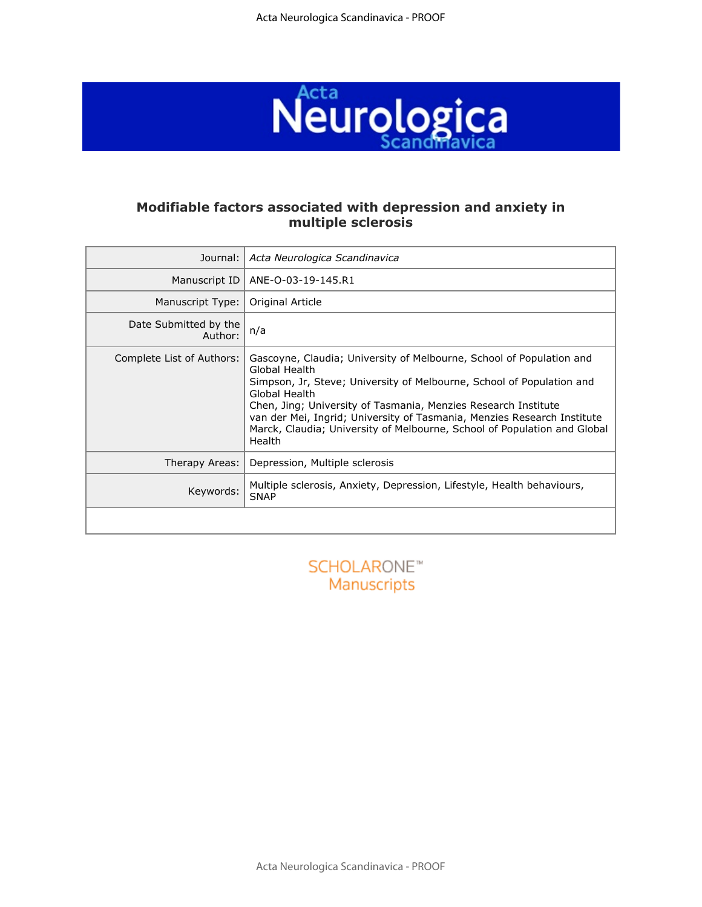

### **Modifiable factors associated with depression and anxiety in multiple sclerosis**

| Journal:                         | Acta Neurologica Scandinavica                                                                                                                                                                                                                                                                                                                                                                                      |
|----------------------------------|--------------------------------------------------------------------------------------------------------------------------------------------------------------------------------------------------------------------------------------------------------------------------------------------------------------------------------------------------------------------------------------------------------------------|
| Manuscript ID                    | ANE-O-03-19-145.R1                                                                                                                                                                                                                                                                                                                                                                                                 |
| Manuscript Type:                 | Original Article                                                                                                                                                                                                                                                                                                                                                                                                   |
| Date Submitted by the<br>Author: | n/a                                                                                                                                                                                                                                                                                                                                                                                                                |
| Complete List of Authors:        | Gascoyne, Claudia; University of Melbourne, School of Population and<br>Global Health<br>Simpson, Jr, Steve; University of Melbourne, School of Population and<br>Global Health<br>Chen, Jing; University of Tasmania, Menzies Research Institute<br>van der Mei, Ingrid; University of Tasmania, Menzies Research Institute<br>Marck, Claudia; University of Melbourne, School of Population and Global<br>Health |
| Therapy Areas:                   | Depression, Multiple sclerosis                                                                                                                                                                                                                                                                                                                                                                                     |
| Keywords:                        | Multiple sclerosis, Anxiety, Depression, Lifestyle, Health behaviours,<br><b>SNAP</b>                                                                                                                                                                                                                                                                                                                              |
|                                  |                                                                                                                                                                                                                                                                                                                                                                                                                    |

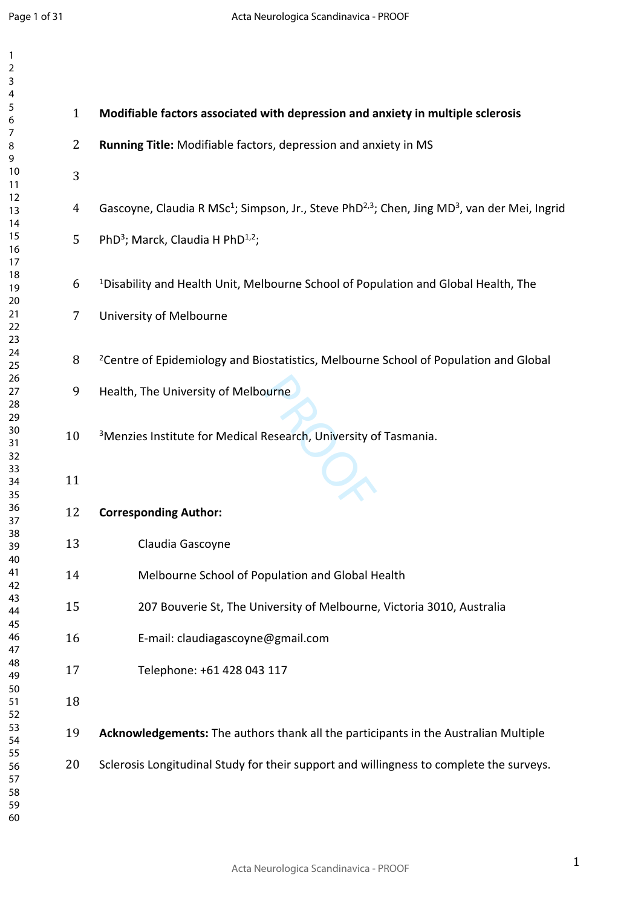| $\overline{c}$<br>3        |                |                                                                                                                                  |
|----------------------------|----------------|----------------------------------------------------------------------------------------------------------------------------------|
| 4<br>5<br>6                | $\mathbf{1}$   | Modifiable factors associated with depression and anxiety in multiple sclerosis                                                  |
| 7<br>8<br>9                | $\overline{2}$ | Running Title: Modifiable factors, depression and anxiety in MS                                                                  |
| 10<br>11                   | 3              |                                                                                                                                  |
| 12<br>13<br>14             | 4              | Gascoyne, Claudia R MSc <sup>1</sup> ; Simpson, Jr., Steve PhD <sup>2,3</sup> ; Chen, Jing MD <sup>3</sup> , van der Mei, Ingrid |
| 15<br>16<br>17             | 5              | PhD <sup>3</sup> ; Marck, Claudia H PhD <sup>1,2</sup> ;                                                                         |
| 18<br>19<br>20             | 6              | <sup>1</sup> Disability and Health Unit, Melbourne School of Population and Global Health, The                                   |
| 21<br>22<br>23             | 7              | University of Melbourne                                                                                                          |
| 24<br>25<br>26             | 8              | <sup>2</sup> Centre of Epidemiology and Biostatistics, Melbourne School of Population and Global                                 |
| 27<br>28<br>29             | 9              | Health, The University of Melbourne                                                                                              |
| 30<br>31<br>32             | 10             | <sup>3</sup> Menzies Institute for Medical Research, University of Tasmania.                                                     |
| 33<br>34<br>35             | 11             |                                                                                                                                  |
| 36<br>37                   | 12             | <b>Corresponding Author:</b>                                                                                                     |
| 38<br>39<br>40             | 13             | Claudia Gascoyne                                                                                                                 |
| 41<br>42                   | 14             | Melbourne School of Population and Global Health                                                                                 |
| 43<br>44<br>45             | 15             | 207 Bouverie St, The University of Melbourne, Victoria 3010, Australia                                                           |
| 46<br>47                   | 16             | E-mail: claudiagascoyne@gmail.com                                                                                                |
| 48<br>49<br>50             | 17             | Telephone: +61 428 043 117                                                                                                       |
| 51<br>52                   | 18             |                                                                                                                                  |
| 53<br>54<br>55             | 19             | Acknowledgements: The authors thank all the participants in the Australian Multiple                                              |
| 56<br>57<br>58<br>59<br>60 | 20             | Sclerosis Longitudinal Study for their support and willingness to complete the surveys.                                          |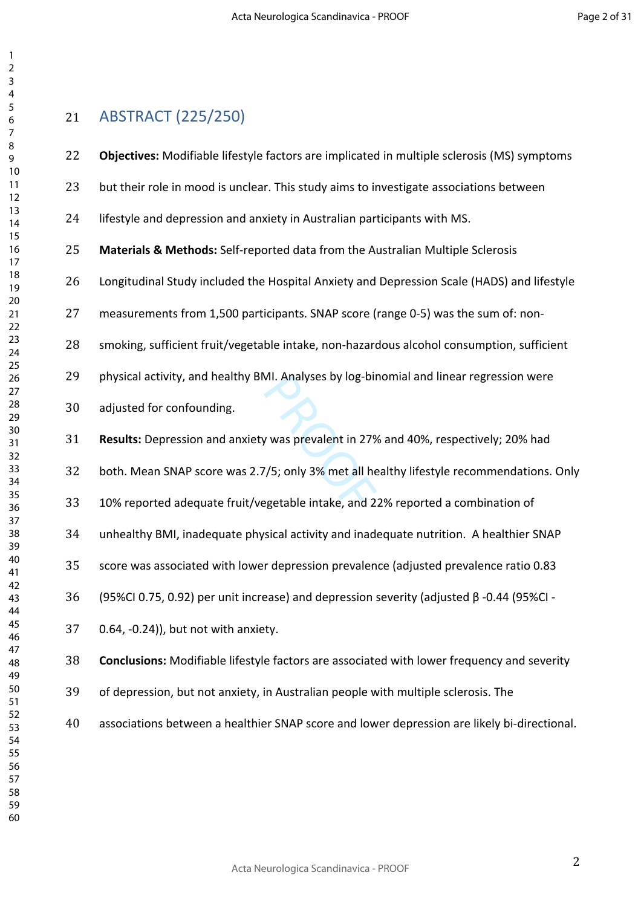# ABSTRACT (225/250)

| 22 | Objectives: Modifiable lifestyle factors are implicated in multiple sclerosis (MS) symptoms       |
|----|---------------------------------------------------------------------------------------------------|
| 23 | but their role in mood is unclear. This study aims to investigate associations between            |
| 24 | lifestyle and depression and anxiety in Australian participants with MS.                          |
| 25 | Materials & Methods: Self-reported data from the Australian Multiple Sclerosis                    |
| 26 | Longitudinal Study included the Hospital Anxiety and Depression Scale (HADS) and lifestyle        |
| 27 | measurements from 1,500 participants. SNAP score (range 0-5) was the sum of: non-                 |
| 28 | smoking, sufficient fruit/vegetable intake, non-hazardous alcohol consumption, sufficient         |
| 29 | physical activity, and healthy BMI. Analyses by log-binomial and linear regression were           |
| 30 | adjusted for confounding.                                                                         |
| 31 | Results: Depression and anxiety was prevalent in 27% and 40%, respectively; 20% had               |
| 32 | both. Mean SNAP score was 2.7/5; only 3% met all healthy lifestyle recommendations. Only          |
| 33 | 10% reported adequate fruit/vegetable intake, and 22% reported a combination of                   |
| 34 | unhealthy BMI, inadequate physical activity and inadequate nutrition. A healthier SNAP            |
| 35 | score was associated with lower depression prevalence (adjusted prevalence ratio 0.83             |
| 36 | (95%CI 0.75, 0.92) per unit increase) and depression severity (adjusted $\beta$ -0.44 (95%CI -    |
| 37 | 0.64, -0.24)), but not with anxiety.                                                              |
| 38 | <b>Conclusions:</b> Modifiable lifestyle factors are associated with lower frequency and severity |
| 39 | of depression, but not anxiety, in Australian people with multiple sclerosis. The                 |
| 40 | associations between a healthier SNAP score and lower depression are likely bi-directional.       |
|    |                                                                                                   |
|    |                                                                                                   |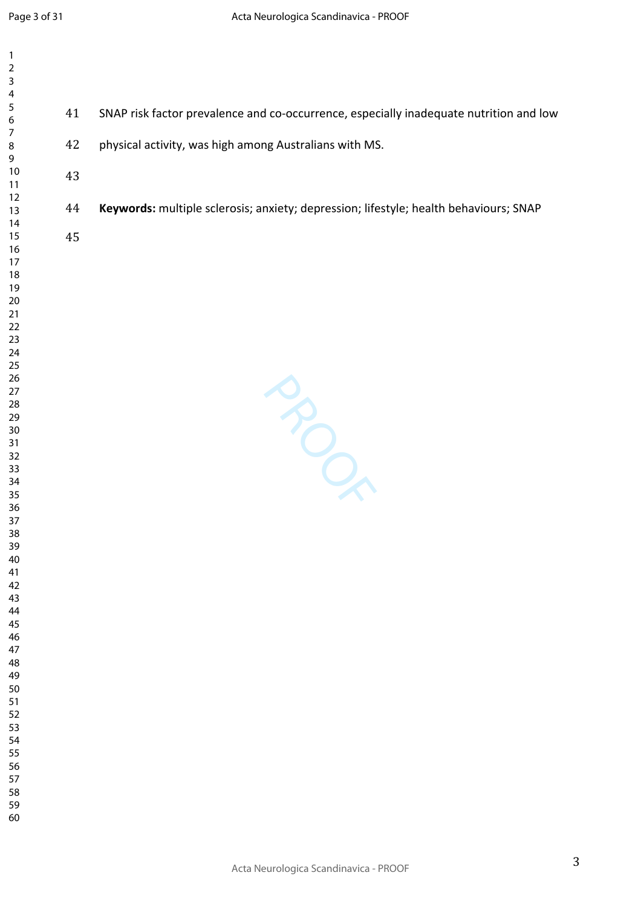| $\mathbf{1}$<br>$\mathbf 2$<br>3 |                                                                                        |
|----------------------------------|----------------------------------------------------------------------------------------|
| 4<br>5<br>41<br>6                | SNAP risk factor prevalence and co-occurrence, especially inadequate nutrition and low |
| $\overline{7}$<br>42<br>$\bf 8$  | physical activity, was high among Australians with MS.                                 |
| 43                               |                                                                                        |
|                                  |                                                                                        |
| 44                               | Keywords: multiple sclerosis; anxiety; depression; lifestyle; health behaviours; SNAP  |
| 45                               |                                                                                        |
|                                  |                                                                                        |
|                                  |                                                                                        |
|                                  |                                                                                        |
|                                  |                                                                                        |
|                                  |                                                                                        |
|                                  |                                                                                        |
|                                  |                                                                                        |
|                                  |                                                                                        |
|                                  | BON                                                                                    |
|                                  |                                                                                        |
|                                  |                                                                                        |
|                                  |                                                                                        |
|                                  |                                                                                        |
|                                  |                                                                                        |
|                                  |                                                                                        |
|                                  |                                                                                        |
|                                  |                                                                                        |
|                                  |                                                                                        |
|                                  |                                                                                        |
|                                  |                                                                                        |
|                                  |                                                                                        |
|                                  |                                                                                        |
|                                  |                                                                                        |
|                                  |                                                                                        |
|                                  |                                                                                        |
| 60                               |                                                                                        |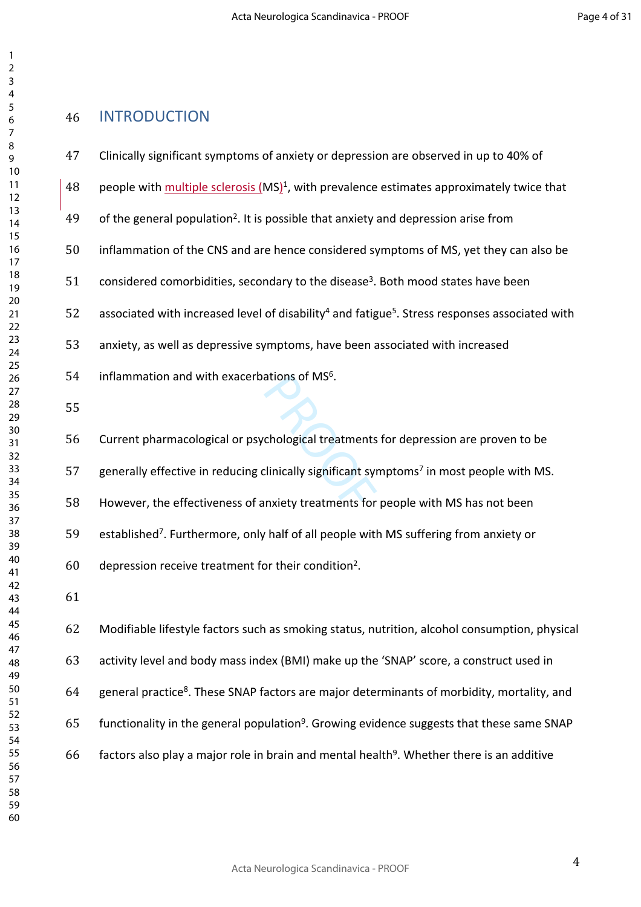## INTRODUCTION

- Clinically significant symptoms of anxiety or depression are observed in up to 40% of
- 48 people with multiple sclerosis (MS)<sup>1</sup>, with prevalence estimates approximately twice that
- 49 of the general population<sup>2</sup>. It is possible that anxiety and depression arise from
- inflammation of the CNS and are hence considered symptoms of MS, yet they can also be
- considered comorbidities, secondary to the disease<sup>3</sup>. Both mood states have been
- 52 associated with increased level of disability<sup>4</sup> and fatigue<sup>5</sup>. Stress responses associated with
- anxiety, as well as depressive symptoms, have been associated with increased
- inflammation and with exacerbations of MS $6$ .
- 

ations of MS°.<br>chological treatments<br>clinically significant syn<br>nxiety treatments for Current pharmacological or psychological treatments for depression are proven to be

- 57 generally effective in reducing clinically significant symptoms<sup>7</sup> in most people with MS.
- However, the effectiveness of anxiety treatments for people with MS has not been
- 59 established<sup>7</sup>. Furthermore, only half of all people with MS suffering from anxiety or
- depression receive treatment for their condition<sup>2</sup> .
- 

 Modifiable lifestyle factors such as smoking status, nutrition, alcohol consumption, physical activity level and body mass index (BMI) make up the 'SNAP' score, a construct used in 64 general practice<sup>8</sup>. These SNAP factors are major determinants of morbidity, mortality, and 65 functionality in the general population<sup>9</sup>. Growing evidence suggests that these same SNAP factors also play a major role in brain and mental health<sup>9</sup>. Whether there is an additive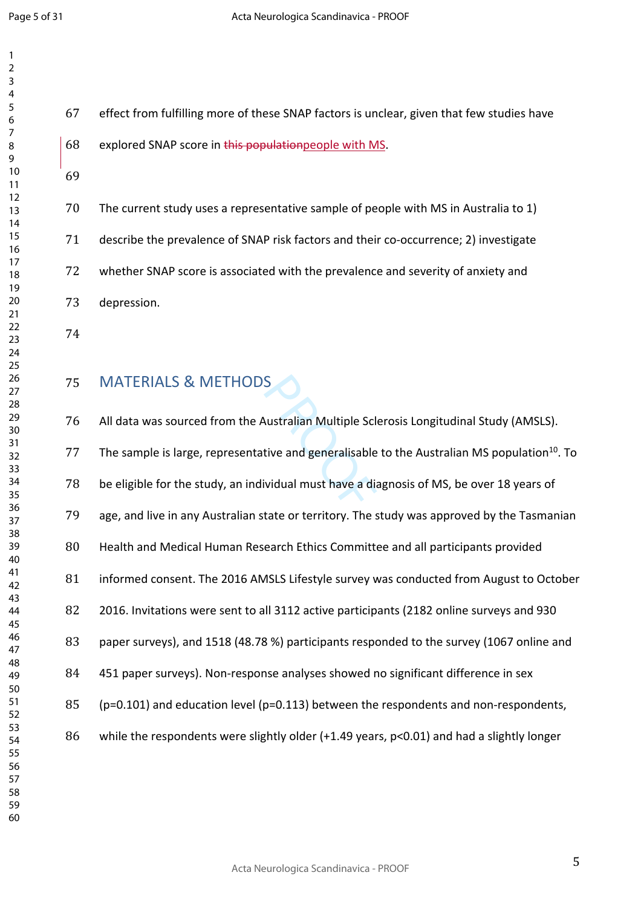| 7                 |  |
|-------------------|--|
| 3                 |  |
| 4                 |  |
|                   |  |
| 5                 |  |
| 6                 |  |
|                   |  |
| 8                 |  |
|                   |  |
| 9                 |  |
| 10                |  |
| 11                |  |
| $\mathbf{1}$<br>C |  |
| 13                |  |
|                   |  |
| 4<br>1            |  |
| 15                |  |
| 16                |  |
| 1                 |  |
|                   |  |
| 18                |  |
| 19                |  |
| 20                |  |
| $\overline{21}$   |  |
| $^{22}$           |  |
|                   |  |
| 23                |  |
| 24                |  |
| 25                |  |
| 26                |  |
|                   |  |
| 27                |  |
| 28                |  |
| 29                |  |
| 30                |  |
|                   |  |
| 31                |  |
| 32                |  |
| 33                |  |
| 34                |  |
| 35                |  |
|                   |  |
| 36                |  |
| 37                |  |
| 38                |  |
| 39                |  |
|                   |  |
| 40                |  |
| 41                |  |
| 42                |  |
| 43                |  |
| 44                |  |
|                   |  |
| 45                |  |
| 46                |  |
| 47                |  |
| 48                |  |
|                   |  |
| 49                |  |
| 50                |  |
| 51                |  |
| 52                |  |
| 53                |  |
|                   |  |
| 54                |  |
| 55                |  |
| 56                |  |
| 57                |  |
|                   |  |
| 58                |  |
| 59<br>€           |  |

 effect from fulfilling more of these SNAP factors is unclear, given that few studies have 68 explored SNAP score in this population people with MS.

 The current study uses a representative sample of people with MS in Australia to 1) describe the prevalence of SNAP risk factors and their co-occurrence; 2) investigate whether SNAP score is associated with the prevalence and severity of anxiety and depression.

## MATERIALS & METHODS

S<br>
Nustralian Multiple Scl<br>
tive and generalisable<br>
ividual must have a dia All data was sourced from the Australian Multiple Sclerosis Longitudinal Study (AMSLS). 77 The sample is large, representative and generalisable to the Australian MS population<sup>10</sup>. To be eligible for the study, an individual must have a diagnosis of MS, be over 18 years of age, and live in any Australian state or territory. The study was approved by the Tasmanian Health and Medical Human Research Ethics Committee and all participants provided informed consent. The 2016 AMSLS Lifestyle survey was conducted from August to October 2016. Invitations were sent to all 3112 active participants (2182 online surveys and 930 paper surveys), and 1518 (48.78 %) participants responded to the survey (1067 online and 451 paper surveys). Non-response analyses showed no significant difference in sex (p=0.101) and education level (p=0.113) between the respondents and non-respondents, while the respondents were slightly older (+1.49 years, p<0.01) and had a slightly longer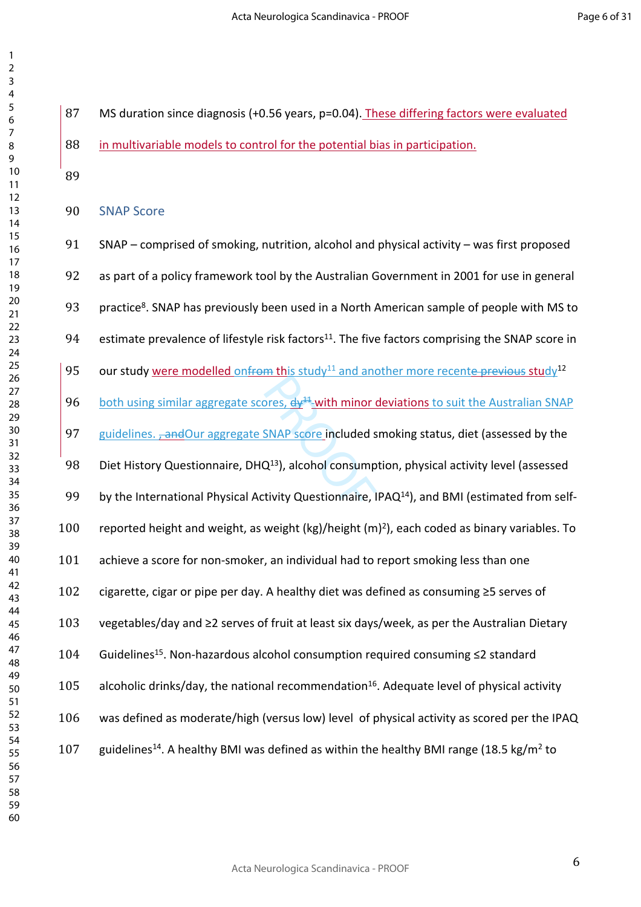MS duration since diagnosis (+0.56 years, p=0.04). These differing factors were evaluated

in multivariable models to control for the potential bias in participation.

SNAP Score

ores, dy<sup>11</sup>-with minor of<br>SNAP score included s<br>Q<sup>13</sup>), alcohol consump<br>tivity Questionnaire, I SNAP – comprised of smoking, nutrition, alcohol and physical activity – was first proposed as part of a policy framework tool by the Australian Government in 2001 for use in general 93 practice<sup>8</sup>. SNAP has previously been used in a North American sample of people with MS to 94 estimate prevalence of lifestyle risk factors<sup>11</sup>. The five factors comprising the SNAP score in 95 our study were modelled onfrom this study<sup>11</sup> and another more recente previous study<sup>12</sup> 96 both using similar aggregate scores,  $dy^{11}$ -with minor deviations to suit the Australian SNAP 97 guidelines. <del>, and</del>Our aggregate SNAP score included smoking status, diet (assessed by the 98 Diet History Questionnaire, DHQ<sup>13</sup>), alcohol consumption, physical activity level (assessed 99 by the International Physical Activity Questionnaire, IPAQ<sup>14</sup>), and BMI (estimated from self-100 reported height and weight, as weight (kg)/height (m)<sup>2</sup>), each coded as binary variables. To achieve a score for non-smoker, an individual had to report smoking less than one cigarette, cigar or pipe per day. A healthy diet was defined as consuming ≥5 serves of vegetables/day and ≥2 serves of fruit at least six days/week, as per the Australian Dietary Guidelines<sup>15</sup>. Non-hazardous alcohol consumption required consuming ≤2 standard 105 alcoholic drinks/day, the national recommendation<sup>16</sup>. Adequate level of physical activity was defined as moderate/high (versus low) level of physical activity as scored per the IPAQ 107 guidelines<sup>14</sup>. A healthy BMI was defined as within the healthy BMI range (18.5 kg/m<sup>2</sup> to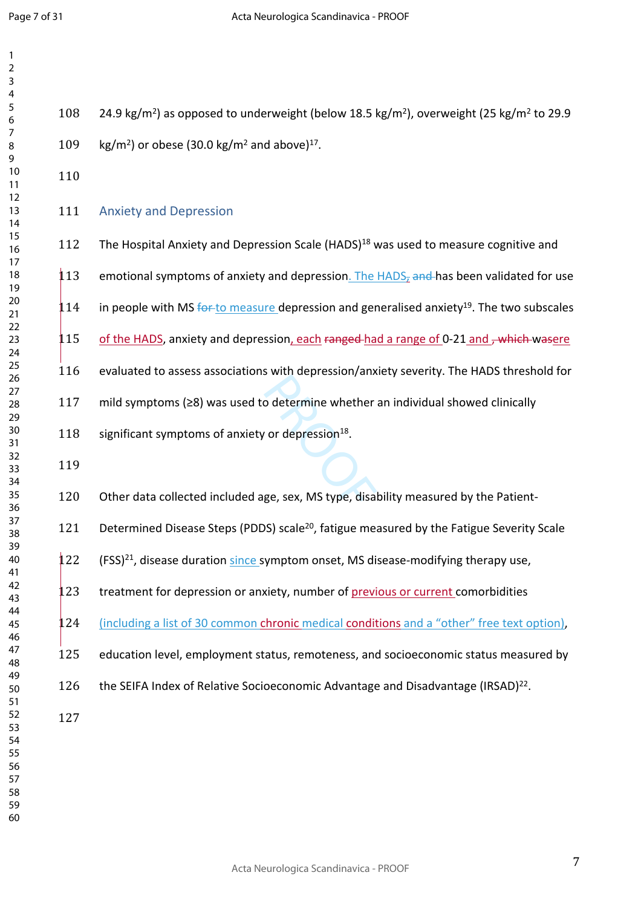| $\overline{2}$<br>3              |     |                                                                                                                              |
|----------------------------------|-----|------------------------------------------------------------------------------------------------------------------------------|
| 4<br>5                           | 108 | 24.9 kg/m <sup>2</sup> ) as opposed to underweight (below 18.5 kg/m <sup>2</sup> ), overweight (25 kg/m <sup>2</sup> to 29.9 |
| 6<br>7                           |     |                                                                                                                              |
| 8<br>9                           | 109 | kg/m <sup>2</sup> ) or obese (30.0 kg/m <sup>2</sup> and above) <sup>17</sup> .                                              |
| 10<br>11<br>12                   | 110 |                                                                                                                              |
| 13<br>14                         | 111 | <b>Anxiety and Depression</b>                                                                                                |
| 15<br>16<br>17                   | 112 | The Hospital Anxiety and Depression Scale (HADS) <sup>18</sup> was used to measure cognitive and                             |
| 18<br>19                         | 113 | emotional symptoms of anxiety and depression. The HADS <sub>z</sub> and has been validated for use                           |
| 20<br>21<br>22                   | 114 | in people with MS $\frac{60+10}{20}$ measure depression and generalised anxiety <sup>19</sup> . The two subscales            |
| 23<br>24                         | 115 | of the HADS, anxiety and depression, each ranged had a range of 0-21 and, which wasere                                       |
| 25<br>26<br>27                   | 116 | evaluated to assess associations with depression/anxiety severity. The HADS threshold for                                    |
| 28<br>29                         | 117 | mild symptoms (≥8) was used to determine whether an individual showed clinically                                             |
| 30<br>31<br>32                   | 118 | significant symptoms of anxiety or depression <sup>18</sup> .                                                                |
| 33<br>34                         | 119 |                                                                                                                              |
| 35<br>36                         | 120 | Other data collected included age, sex, MS type, disability measured by the Patient-                                         |
| 37<br>38<br>39                   | 121 | Determined Disease Steps (PDDS) scale <sup>20</sup> , fatigue measured by the Fatigue Severity Scale                         |
| 40<br>41                         | 122 | (FSS) <sup>21</sup> , disease duration since symptom onset, MS disease-modifying therapy use,                                |
| 42<br>43<br>44                   | 123 | treatment for depression or anxiety, number of previous or current comorbidities                                             |
| 45<br>46                         | 124 | (including a list of 30 common chronic medical conditions and a "other" free text option),                                   |
| 47<br>48<br>49                   | 125 | education level, employment status, remoteness, and socioeconomic status measured by                                         |
| 50<br>51                         | 126 | the SEIFA Index of Relative Socioeconomic Advantage and Disadvantage (IRSAD) <sup>22</sup> .                                 |
| 52<br>53<br>54<br>55<br>56<br>57 | 127 |                                                                                                                              |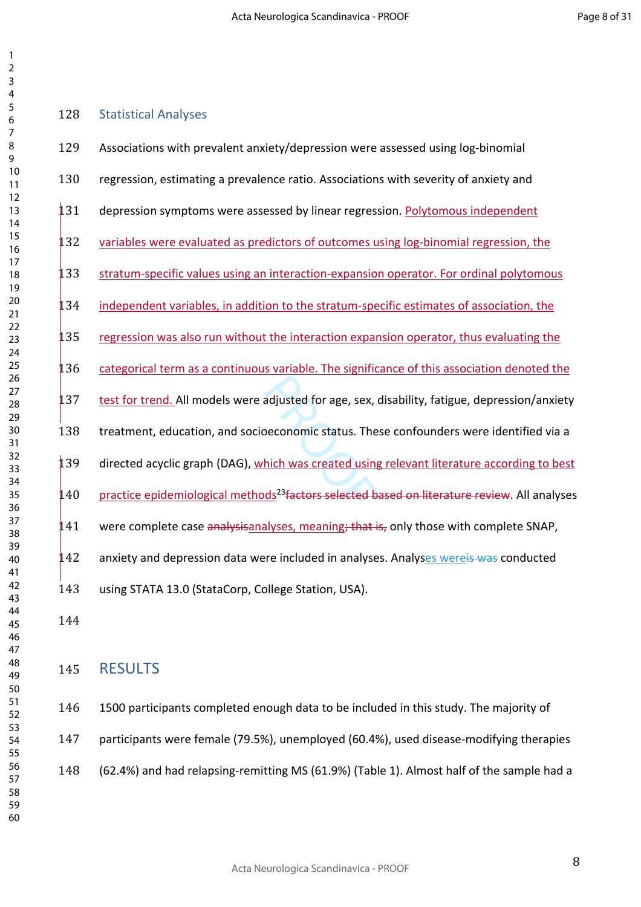### Statistical Analyses

| 129 | Associations with prevalent anxiety/depression were assessed using log-binomial                          |
|-----|----------------------------------------------------------------------------------------------------------|
| 130 | regression, estimating a prevalence ratio. Associations with severity of anxiety and                     |
| 131 | depression symptoms were assessed by linear regression. Polytomous independent                           |
| 32  | variables were evaluated as predictors of outcomes using log-binomial regression, the                    |
| 133 | stratum-specific values using an interaction-expansion operator. For ordinal polytomous                  |
| .34 | independent variables, in addition to the stratum-specific estimates of association, the                 |
| 135 | regression was also run without the interaction expansion operator, thus evaluating the                  |
| 36  | categorical term as a continuous variable. The significance of this association denoted the              |
| 137 | test for trend. All models were adjusted for age, sex, disability, fatigue, depression/anxiety           |
| 138 | treatment, education, and socioeconomic status. These confounders were identified via a                  |
| 139 | directed acyclic graph (DAG), which was created using relevant literature according to best              |
| 140 | practice epidemiological methods <sup>23</sup> factors selected based on literature review. All analyses |
| 41  | were complete case analysisanalyses, meaning; that is, only those with complete SNAP,                    |
| 142 | anxiety and depression data were included in analyses. Analyses wereis was conducted                     |
| 143 | using STATA 13.0 (StataCorp, College Station, USA).                                                      |
|     |                                                                                                          |

## RESULTS

 1500 participants completed enough data to be included in this study. The majority of participants were female (79.5%), unemployed (60.4%), used disease-modifying therapies (62.4%) and had relapsing-remitting MS (61.9%) (Table 1). Almost half of the sample had a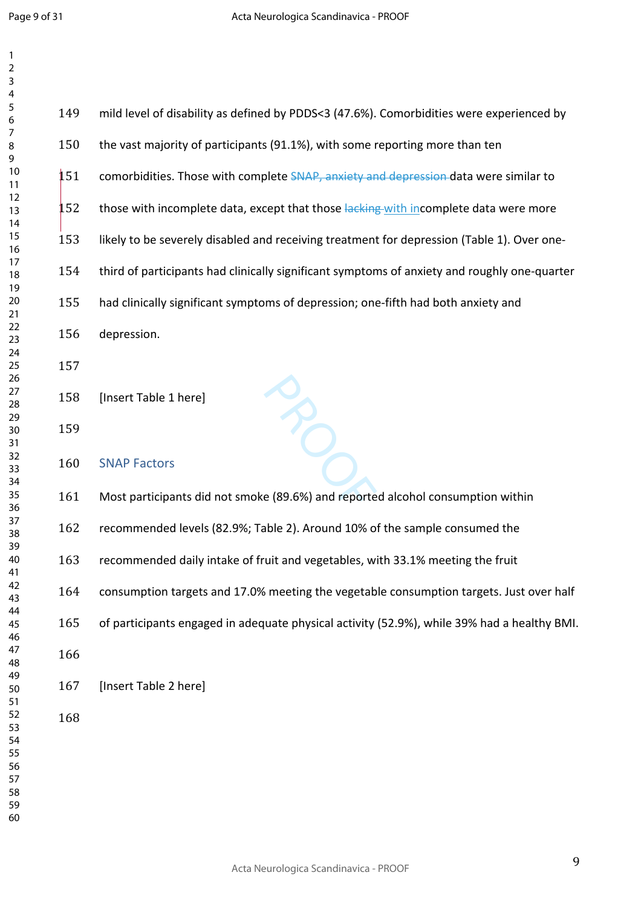| 3        |     |                                                                                              |
|----------|-----|----------------------------------------------------------------------------------------------|
| 4<br>5   |     |                                                                                              |
| 6        | 149 | mild level of disability as defined by PDDS<3 (47.6%). Comorbidities were experienced by     |
| 7        |     |                                                                                              |
| 8        | 150 | the vast majority of participants (91.1%), with some reporting more than ten                 |
| 9        |     |                                                                                              |
| 10       | 151 |                                                                                              |
| 11       |     | comorbidities. Those with complete SNAP, anxiety and depression data were similar to         |
| 12       |     |                                                                                              |
| 13       | 152 | those with incomplete data, except that those lacking with incomplete data were more         |
| 14       |     |                                                                                              |
| 15       | 153 | likely to be severely disabled and receiving treatment for depression (Table 1). Over one-   |
| 16       |     |                                                                                              |
| 17       | 154 | third of participants had clinically significant symptoms of anxiety and roughly one-quarter |
| 18       |     |                                                                                              |
| 19       |     |                                                                                              |
| 20       | 155 | had clinically significant symptoms of depression; one-fifth had both anxiety and            |
| 21       |     |                                                                                              |
| 22       | 156 | depression.                                                                                  |
| 23       |     |                                                                                              |
| 24       |     |                                                                                              |
| 25<br>26 | 157 |                                                                                              |
| 27       |     |                                                                                              |
| 28       | 158 | [Insert Table 1 here]                                                                        |
| 29       |     |                                                                                              |
| 30       | 159 |                                                                                              |
| 31       |     |                                                                                              |
| 32       |     |                                                                                              |
| 33       | 160 | <b>SNAP Factors</b>                                                                          |
| 34       |     |                                                                                              |
| 35       | 161 | Most participants did not smoke (89.6%) and reported alcohol consumption within              |
| 36       |     |                                                                                              |
| 37       |     |                                                                                              |
| 38       | 162 | recommended levels (82.9%; Table 2). Around 10% of the sample consumed the                   |
| 39       |     |                                                                                              |
| 40       | 163 | recommended daily intake of fruit and vegetables, with 33.1% meeting the fruit               |
| 41       |     |                                                                                              |
| 42       | 164 | consumption targets and 17.0% meeting the vegetable consumption targets. Just over half      |
| 43       |     |                                                                                              |
| 44       |     |                                                                                              |
| 45       | 165 | of participants engaged in adequate physical activity (52.9%), while 39% had a healthy BMI.  |
| 46       |     |                                                                                              |
| 47       | 166 |                                                                                              |
| 48       |     |                                                                                              |
| 49       | 167 | [Insert Table 2 here]                                                                        |
| 50       |     |                                                                                              |
| 51       |     |                                                                                              |
| 52       | 168 |                                                                                              |
| 53<br>54 |     |                                                                                              |
| 55       |     |                                                                                              |
| 56       |     |                                                                                              |
| 57       |     |                                                                                              |
| 58       |     |                                                                                              |
| 59       |     |                                                                                              |
| 60       |     |                                                                                              |
|          |     |                                                                                              |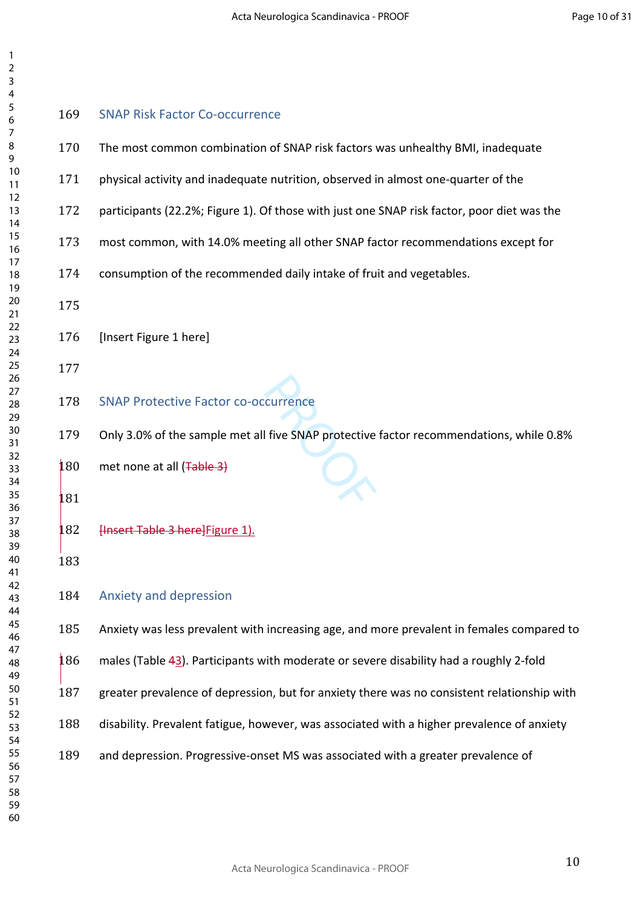#### SNAP Risk Factor Co-occurrence

- The most common combination of SNAP risk factors was unhealthy BMI, inadequate
- physical activity and inadequate nutrition, observed in almost one-quarter of the
- participants (22.2%; Figure 1). Of those with just one SNAP risk factor, poor diet was the
- most common, with 14.0% meeting all other SNAP factor recommendations except for
- consumption of the recommended daily intake of fruit and vegetables.
- 

#### [Insert Figure 1 here]

### SNAP Protective Factor co-occurrence

Only 3.0% of the sample met all five SNAP protective factor recommendations, while 0.8%

met none at all (Table 3)

### **Hnsert Table 3 here** Figure 1).

#### Anxiety and depression

Anxiety was less prevalent with increasing age, and more prevalent in females compared to

- males (Table 43). Participants with moderate or severe disability had a roughly 2-fold
- greater prevalence of depression, but for anxiety there was no consistent relationship with
- disability. Prevalent fatigue, however, was associated with a higher prevalence of anxiety
- and depression. Progressive-onset MS was associated with a greater prevalence of
-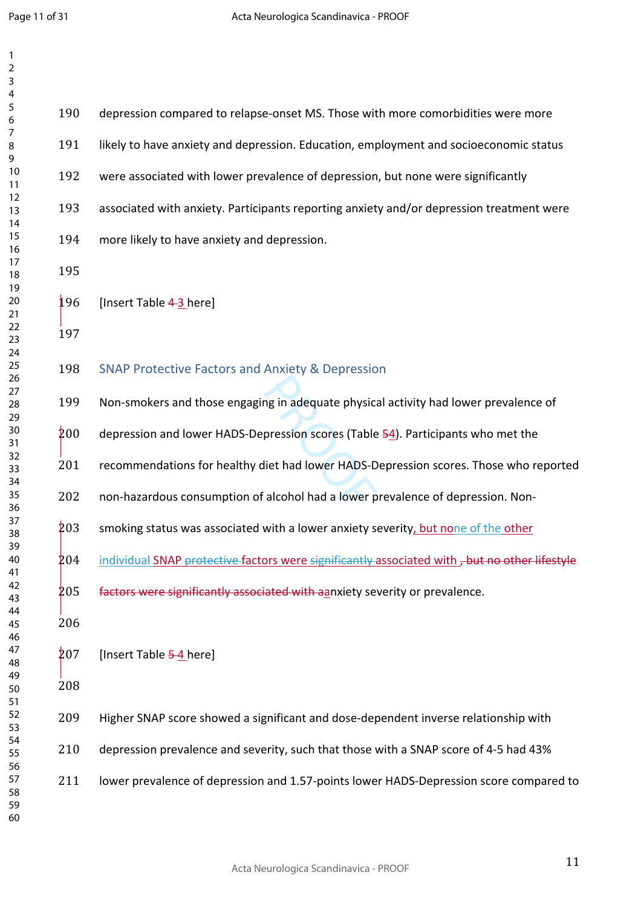| 3<br>4         |     |                                                                                               |
|----------------|-----|-----------------------------------------------------------------------------------------------|
| 5<br>6         | 190 | depression compared to relapse-onset MS. Those with more comorbidities were more              |
| 7<br>8<br>9    | 191 | likely to have anxiety and depression. Education, employment and socioeconomic status         |
| $10$<br>11     | 192 | were associated with lower prevalence of depression, but none were significantly              |
| 12<br>13       | 193 | associated with anxiety. Participants reporting anxiety and/or depression treatment were      |
| 14<br>15<br>16 | 194 | more likely to have anxiety and depression.                                                   |
| 17<br>18       | 195 |                                                                                               |
| 19<br>20       | 196 | [Insert Table 4-3 here]                                                                       |
| 21<br>22<br>23 | 197 |                                                                                               |
| 24<br>25<br>26 | 198 | <b>SNAP Protective Factors and Anxiety &amp; Depression</b>                                   |
| 27<br>28       | 199 | Non-smokers and those engaging in adequate physical activity had lower prevalence of          |
| 29<br>30<br>31 | 200 | depression and lower HADS-Depression scores (Table 54). Participants who met the              |
| 32<br>33       | 201 | recommendations for healthy diet had lower HADS-Depression scores. Those who reported         |
| 34<br>35<br>36 | 202 | non-hazardous consumption of alcohol had a lower prevalence of depression. Non-               |
| 37<br>38       | 203 | smoking status was associated with a lower anxiety severity, but none of the other            |
| 39<br>40<br>41 | 204 | individual SNAP protective factors were significantly associated with, but no other lifestyle |
| 42<br>43       | 205 | factors were significantly associated with aanxiety severity or prevalence.                   |
| 44<br>45       | 206 |                                                                                               |
| 46<br>47<br>48 | 207 | [Insert Table 5-4 here]                                                                       |
| 49<br>50       | 208 |                                                                                               |
| 51<br>52       | 209 | Higher SNAP score showed a significant and dose-dependent inverse relationship with           |
| 53<br>54<br>55 | 210 | depression prevalence and severity, such that those with a SNAP score of 4-5 had 43%          |
| 56<br>57       | 211 | lower prevalence of depression and 1.57-points lower HADS-Depression score compared to        |
| 58<br>59<br>60 |     |                                                                                               |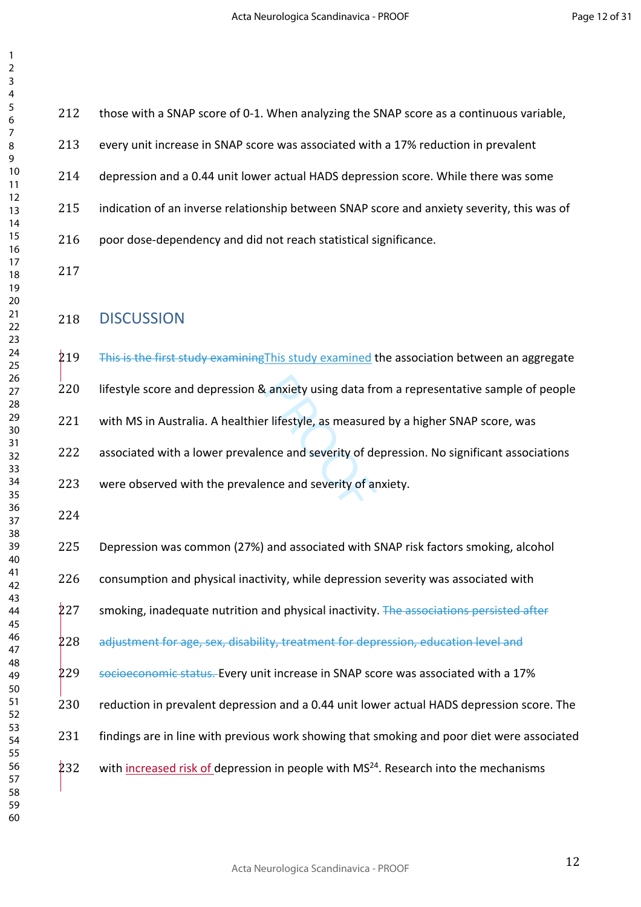| 212 | those with a SNAP score of 0-1. When analyzing the SNAP score as a continuous variable,          |
|-----|--------------------------------------------------------------------------------------------------|
| 213 | every unit increase in SNAP score was associated with a 17% reduction in prevalent               |
| 214 | depression and a 0.44 unit lower actual HADS depression score. While there was some              |
| 215 | indication of an inverse relationship between SNAP score and anxiety severity, this was of       |
| 216 | poor dose-dependency and did not reach statistical significance.                                 |
| 217 |                                                                                                  |
| 218 | <b>DISCUSSION</b>                                                                                |
| 219 | This is the first study examining This study examined the association between an aggregate       |
| 220 | lifestyle score and depression & anxiety using data from a representative sample of people       |
| 221 | with MS in Australia. A healthier lifestyle, as measured by a higher SNAP score, was             |
| 222 | associated with a lower prevalence and severity of depression. No significant associations       |
| 223 | were observed with the prevalence and severity of anxiety.                                       |
| 224 |                                                                                                  |
| 225 | Depression was common (27%) and associated with SNAP risk factors smoking, alcohol               |
| 226 | consumption and physical inactivity, while depression severity was associated with               |
| 227 | smoking, inadequate nutrition and physical inactivity. The associations persisted after          |
| 228 | adjustment for age, sex, disability, treatment for depression, education level and               |
| 229 | socioeconomic status. Every unit increase in SNAP score was associated with a 17%                |
| 230 | reduction in prevalent depression and a 0.44 unit lower actual HADS depression score. The        |
| 231 | findings are in line with previous work showing that smoking and poor diet were associated       |
| 232 | with increased risk of depression in people with MS <sup>24</sup> . Research into the mechanisms |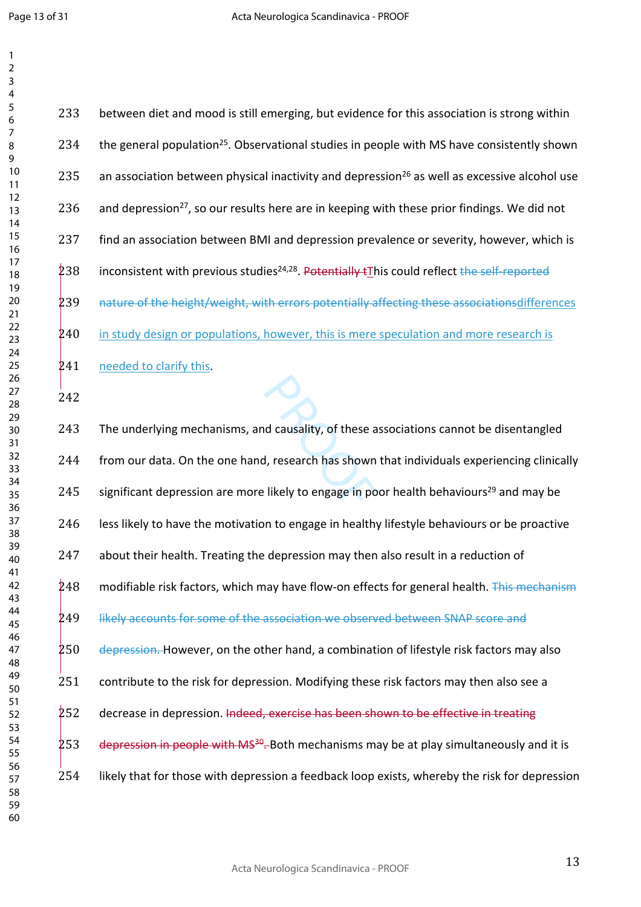A<br>
A causality, of these a<br>
A, research has shown<br>
Likely to engage in po 233 between diet and mood is still emerging, but evidence for this association is strong within 234 the general population<sup>25</sup>. Observational studies in people with MS have consistently shown 235 an association between physical inactivity and depression<sup>26</sup> as well as excessive alcohol use 236 and depression<sup>27</sup>, so our results here are in keeping with these prior findings. We did not find an association between BMI and depression prevalence or severity, however, which is 238 inconsistent with previous studies<sup>24,28</sup>. Potentially tThis could reflect the self-reported 239 nature of the height/weight, with errors potentially affecting these associationsdifferences in study design or populations, however, this is mere speculation and more research is 241 needed to clarify this. The underlying mechanisms, and causality, of these associations cannot be disentangled 244 from our data. On the one hand, research has shown that individuals experiencing clinically 245 significant depression are more likely to engage in poor health behaviours<sup>29</sup> and may be 246 less likely to have the motivation to engage in healthy lifestyle behaviours or be proactive 247 about their health. Treating the depression may then also result in a reduction of modifiable risk factors, which may have flow-on effects for general health. This mechanism 249 likely accounts for some of the association we observed between SNAP score and 250 depression. However, on the other hand, a combination of lifestyle risk factors may also 251 contribute to the risk for depression. Modifying these risk factors may then also see a decrease in depression. Indeed, exercise has been shown to be effective in treating 253 depression in people with MS<sup>30</sup>. Both mechanisms may be at play simultaneously and it is likely that for those with depression a feedback loop exists, whereby the risk for depression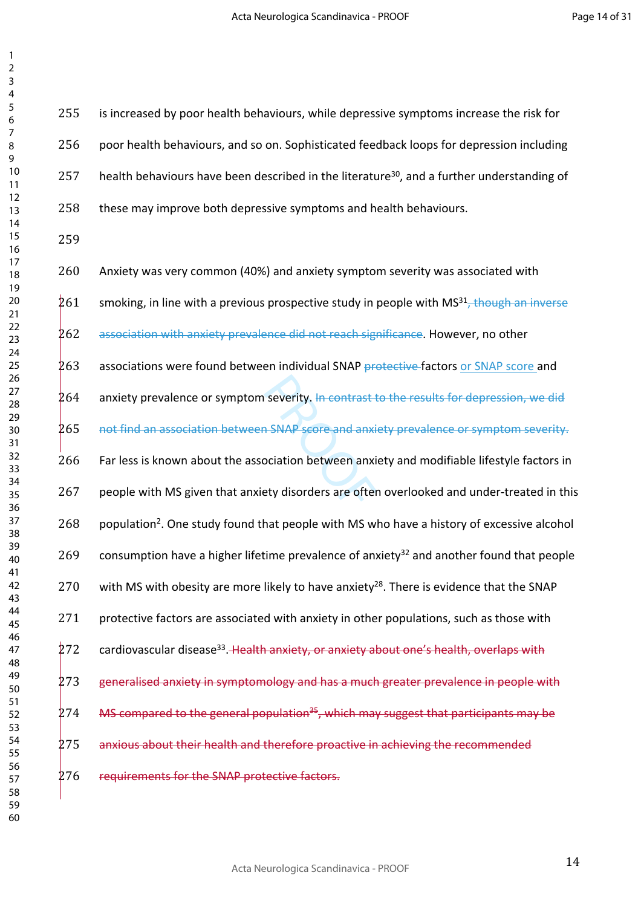| 2                                         |  |
|-------------------------------------------|--|
| 3                                         |  |
| 4                                         |  |
| 5                                         |  |
|                                           |  |
| 6                                         |  |
|                                           |  |
| 8                                         |  |
| 9                                         |  |
|                                           |  |
| 10                                        |  |
| 11                                        |  |
| $\mathbf{1}$<br>$\overline{2}$            |  |
| 3<br>1                                    |  |
|                                           |  |
| 1<br>4                                    |  |
| 15                                        |  |
| 16                                        |  |
| 1                                         |  |
| 18                                        |  |
|                                           |  |
| 19                                        |  |
| 20                                        |  |
| $\overline{21}$                           |  |
| $\overline{2}$<br>$\overline{2}$          |  |
| 23                                        |  |
|                                           |  |
| $\frac{24}{5}$                            |  |
| 25                                        |  |
| 26                                        |  |
| $\overline{2}$                            |  |
| 28                                        |  |
|                                           |  |
| 29                                        |  |
| 30                                        |  |
| $\overline{\textbf{3}}$                   |  |
| $\overline{\mathbf{3}}$<br>$\overline{2}$ |  |
|                                           |  |
| $\overline{\mathbf{3}}$<br>3              |  |
| 34                                        |  |
| 35                                        |  |
| 36                                        |  |
| $\overline{\mathbf{3}}$                   |  |
|                                           |  |
| 38                                        |  |
| $\frac{3}{2}$<br>J                        |  |
| 40                                        |  |
| 41                                        |  |
| 42                                        |  |
|                                           |  |
| 43                                        |  |
| 44                                        |  |
| 45                                        |  |
| 46                                        |  |
| 47                                        |  |
|                                           |  |
| 48                                        |  |
| 49                                        |  |
| 50                                        |  |
| 51                                        |  |
| 52                                        |  |
|                                           |  |
| 53                                        |  |
| 54                                        |  |
| 55                                        |  |
| 56                                        |  |
| 57                                        |  |
|                                           |  |
| 58                                        |  |
| 59                                        |  |
| 60                                        |  |

 is increased by poor health behaviours, while depressive symptoms increase the risk for poor health behaviours, and so on. Sophisticated feedback loops for depression including 257 health behaviours have been described in the literature<sup>30</sup>, and a further understanding of 258 these may improve both depressive symptoms and health behaviours.

- severity. <del>In contrast t</del><br> **PROP SECTE and anxity SNAP SECTE and anxity**<br>
Property disorders are ofter Anxiety was very common (40%) and anxiety symptom severity was associated with 261 smoking, in line with a previous prospective study in people with MS $a<sup>31</sup>$ , though an inverse association with anxiety prevalence did not reach significance. However, no other 263 associations were found between individual SNAP protective factors or SNAP score and anxiety prevalence or symptom severity. In contrast to the results for depression, we did not find an association between SNAP score and anxiety prevalence or symptom severity. Far less is known about the association between anxiety and modifiable lifestyle factors in 267 people with MS given that anxiety disorders are often overlooked and under-treated in this 268 population<sup>2</sup>. One study found that people with MS who have a history of excessive alcohol 269 consumption have a higher lifetime prevalence of anxiety<sup>32</sup> and another found that people 270 with MS with obesity are more likely to have anxiety<sup>28</sup>. There is evidence that the SNAP 271 protective factors are associated with anxiety in other populations, such as those with 272 cardiovascular disease<sup>33</sup>. Health anxiety, or anxiety about one's health, overlaps with 273 generalised anxiety in symptomology and has a much greater prevalence in people with
	- 275 anxious about their health and therefore proactive in achieving the recommended

MS compared to the general population<sup>35</sup>, which may suggest that participants may be

276 requirements for the SNAP protective factors.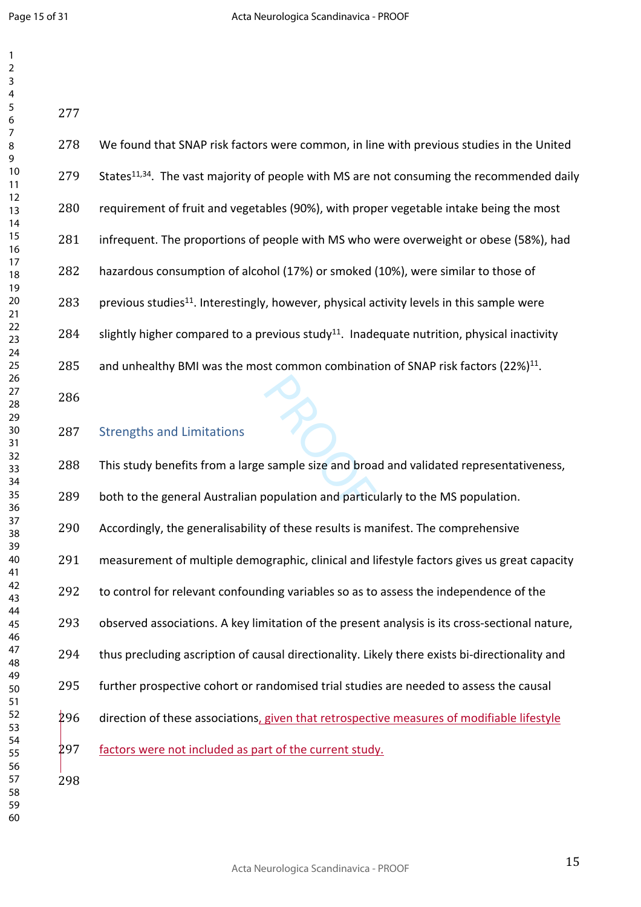| 278 | We found that SNAP risk factors were common, in line with previous studies in the United               |
|-----|--------------------------------------------------------------------------------------------------------|
| 279 | States <sup>11,34</sup> . The vast majority of people with MS are not consuming the recommended daily  |
| 280 | requirement of fruit and vegetables (90%), with proper vegetable intake being the most                 |
| 281 | infrequent. The proportions of people with MS who were overweight or obese (58%), had                  |
| 282 | hazardous consumption of alcohol (17%) or smoked (10%), were similar to those of                       |
| 283 | previous studies <sup>11</sup> . Interestingly, however, physical activity levels in this sample were  |
| 284 | slightly higher compared to a previous study <sup>11</sup> . Inadequate nutrition, physical inactivity |
| 285 | and unhealthy BMI was the most common combination of SNAP risk factors (22%) <sup>11</sup> .           |
| 286 |                                                                                                        |
| 287 | <b>Strengths and Limitations</b>                                                                       |
| 288 | This study benefits from a large sample size and broad and validated representativeness,               |
| 289 | both to the general Australian population and particularly to the MS population.                       |
| 290 | Accordingly, the generalisability of these results is manifest. The comprehensive                      |
| 291 | measurement of multiple demographic, clinical and lifestyle factors gives us great capacity            |
| 292 | to control for relevant confounding variables so as to assess the independence of the                  |
| 293 | observed associations. A key limitation of the present analysis is its cross-sectional nature,         |
| 294 | thus precluding ascription of causal directionality. Likely there exists bi-directionality and         |
| 295 | further prospective cohort or randomised trial studies are needed to assess the causal                 |
| 296 | direction of these associations, given that retrospective measures of modifiable lifestyle             |
| 297 | factors were not included as part of the current study.                                                |
| 298 |                                                                                                        |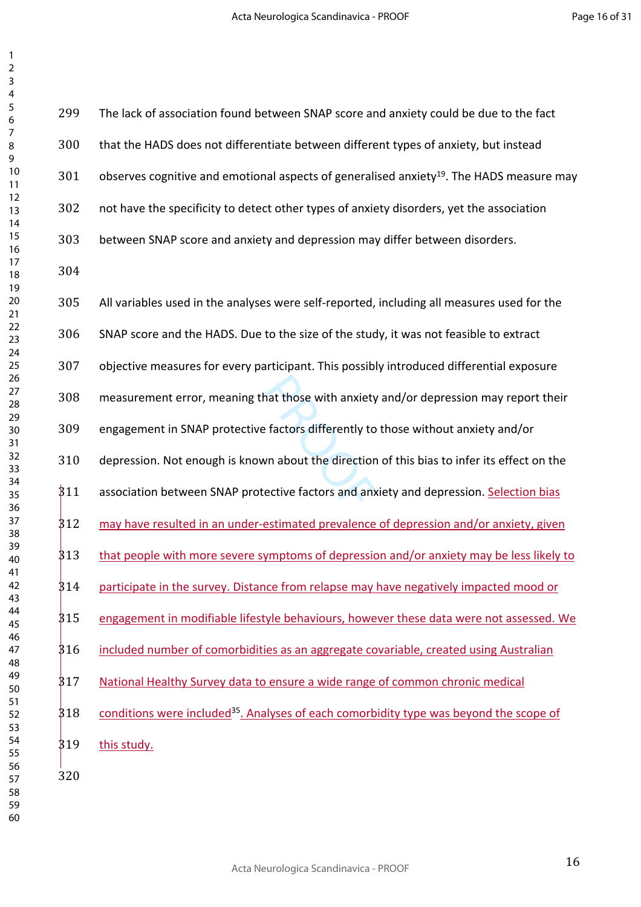Page 16 of 31

| 299  | The lack of association found between SNAP score and anxiety could be due to the fact                |
|------|------------------------------------------------------------------------------------------------------|
| 300  | that the HADS does not differentiate between different types of anxiety, but instead                 |
| 301  | observes cognitive and emotional aspects of generalised anxiety <sup>19</sup> . The HADS measure may |
| 302  | not have the specificity to detect other types of anxiety disorders, yet the association             |
| 303  | between SNAP score and anxiety and depression may differ between disorders.                          |
| 304  |                                                                                                      |
| 305  | All variables used in the analyses were self-reported, including all measures used for the           |
| 306  | SNAP score and the HADS. Due to the size of the study, it was not feasible to extract                |
| 307  | objective measures for every participant. This possibly introduced differential exposure             |
| 308  | measurement error, meaning that those with anxiety and/or depression may report their                |
| 309  | engagement in SNAP protective factors differently to those without anxiety and/or                    |
| 310  | depression. Not enough is known about the direction of this bias to infer its effect on the          |
| 311  | association between SNAP protective factors and anxiety and depression. Selection bias               |
| 312  | may have resulted in an under-estimated prevalence of depression and/or anxiety, given               |
| 313  | that people with more severe symptoms of depression and/or anxiety may be less likely to             |
| \$14 | participate in the survey. Distance from relapse may have negatively impacted mood or                |
| 315  | engagement in modifiable lifestyle behaviours, however these data were not assessed. We              |
| 316  | included number of comorbidities as an aggregate covariable, created using Australian                |
| 317  | National Healthy Survey data to ensure a wide range of common chronic medical                        |
| 318  | conditions were included <sup>35</sup> . Analyses of each comorbidity type was beyond the scope of   |
| 319  | this study.                                                                                          |
| 320  |                                                                                                      |
|      |                                                                                                      |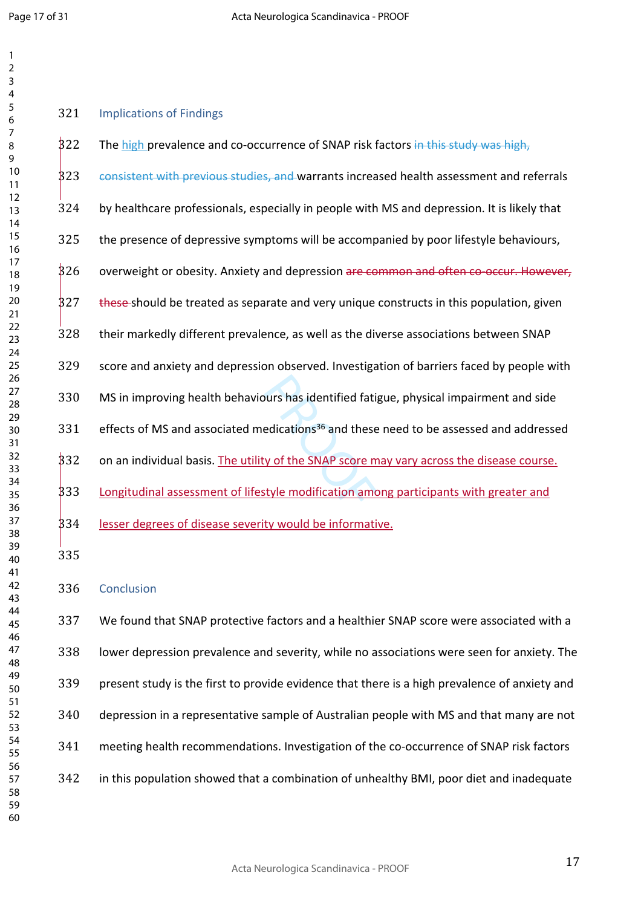| 1                                            |  |
|----------------------------------------------|--|
| $\overline{c}$                               |  |
|                                              |  |
| 3<br>4                                       |  |
| 5                                            |  |
|                                              |  |
|                                              |  |
|                                              |  |
| 6<br>7<br>8<br>9<br>10                       |  |
|                                              |  |
|                                              |  |
| 1<br>1                                       |  |
|                                              |  |
| 12<br>13<br>14<br>15<br>16<br>17             |  |
|                                              |  |
|                                              |  |
|                                              |  |
|                                              |  |
|                                              |  |
| 18<br>19                                     |  |
| 20<br>21<br>22 34<br>24 25<br>26<br>27<br>28 |  |
|                                              |  |
|                                              |  |
|                                              |  |
|                                              |  |
|                                              |  |
|                                              |  |
|                                              |  |
|                                              |  |
|                                              |  |
|                                              |  |
| 30<br>31<br>32                               |  |
|                                              |  |
|                                              |  |
| 33                                           |  |
| 34                                           |  |
| -<br>35                                      |  |
| -<br>36                                      |  |
| 37                                           |  |
| $\overline{\bf 8}$                           |  |
| 39                                           |  |
| 40                                           |  |
| 41                                           |  |
| 42                                           |  |
| 43                                           |  |
| 44                                           |  |
| 45                                           |  |
| 46                                           |  |
| 47                                           |  |
| 48                                           |  |
|                                              |  |
| 49                                           |  |
| 50                                           |  |
| 51                                           |  |
| 52                                           |  |
| 53                                           |  |
| 54                                           |  |
| 55                                           |  |
| 56                                           |  |
| 57                                           |  |
| 58                                           |  |
| 59                                           |  |

| 321 | <b>Implications of Findings</b>                                                                    |
|-----|----------------------------------------------------------------------------------------------------|
| 322 | The high prevalence and co-occurrence of SNAP risk factors in this study was high,                 |
| 323 | consistent with previous studies, and warrants increased health assessment and referrals           |
| 324 | by healthcare professionals, especially in people with MS and depression. It is likely that        |
| 325 | the presence of depressive symptoms will be accompanied by poor lifestyle behaviours,              |
| 826 | overweight or obesity. Anxiety and depression are common and often co-occur. However,              |
| 327 | these-should be treated as separate and very unique constructs in this population, given           |
| 328 | their markedly different prevalence, as well as the diverse associations between SNAP              |
| 329 | score and anxiety and depression observed. Investigation of barriers faced by people with          |
| 330 | MS in improving health behaviours has identified fatigue, physical impairment and side             |
| 331 | effects of MS and associated medications <sup>36</sup> and these need to be assessed and addressed |
| 332 | on an individual basis. The utility of the SNAP score may vary across the disease course.          |
| 333 | Longitudinal assessment of lifestyle modification among participants with greater and              |
| 334 | lesser degrees of disease severity would be informative.                                           |
| 335 |                                                                                                    |
|     |                                                                                                    |

Conclusion

 We found that SNAP protective factors and a healthier SNAP score were associated with a lower depression prevalence and severity, while no associations were seen for anxiety. The present study is the first to provide evidence that there is a high prevalence of anxiety and depression in a representative sample of Australian people with MS and that many are not meeting health recommendations. Investigation of the co-occurrence of SNAP risk factors in this population showed that a combination of unhealthy BMI, poor diet and inadequate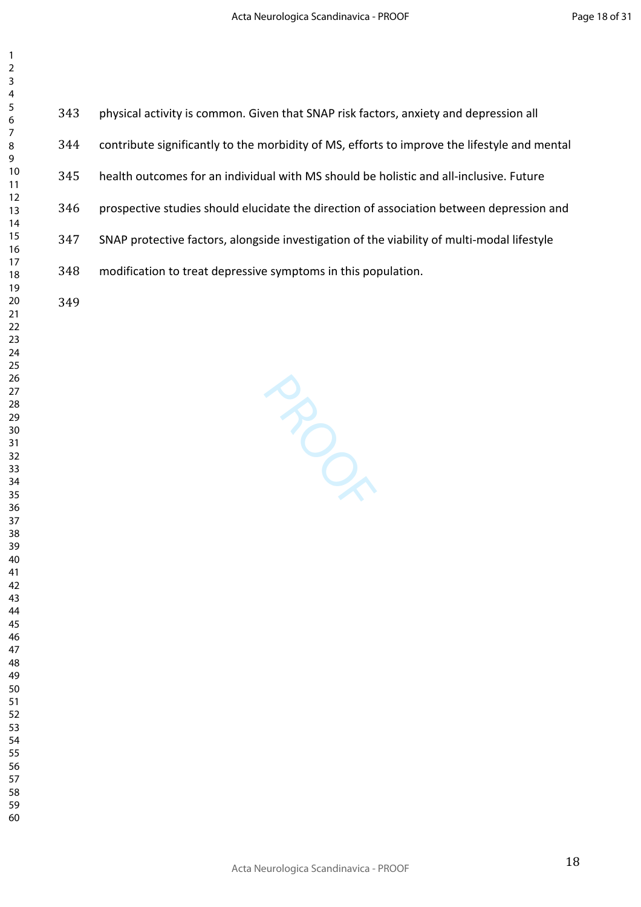| 2               |  |
|-----------------|--|
| 3               |  |
| 4               |  |
| 5               |  |
|                 |  |
| 6               |  |
| 7               |  |
| 8               |  |
| 9               |  |
| 10              |  |
| 11              |  |
| $\overline{12}$ |  |
| 13              |  |
| $\overline{14}$ |  |
| 15              |  |
|                 |  |
| 16              |  |
| $\overline{17}$ |  |
| 18              |  |
| 19              |  |
| 20              |  |
| $\overline{21}$ |  |
| $\overline{22}$ |  |
| 23              |  |
|                 |  |
| 24              |  |
| 25              |  |
| 26              |  |
| 27              |  |
| 28              |  |
| 29              |  |
| 30              |  |
| 31              |  |
| 32              |  |
|                 |  |
| 33              |  |
| 34              |  |
| $\frac{35}{5}$  |  |
| 36<br>37        |  |
|                 |  |
| 38              |  |
| 39              |  |
| 40              |  |
|                 |  |
| 41              |  |
| 42              |  |
| 43              |  |
| 44              |  |
| 45              |  |
| 46              |  |
| 47              |  |
| 48              |  |
| 49              |  |
|                 |  |
| 50              |  |
| 51              |  |
| 52              |  |
| 53              |  |
| 54              |  |
| 55              |  |
| 56              |  |
|                 |  |
| 57              |  |
| 58              |  |

- physical activity is common. Given that SNAP risk factors, anxiety and depression all
- contribute significantly to the morbidity of MS, efforts to improve the lifestyle and mental
- health outcomes for an individual with MS should be holistic and all-inclusive. Future
- prospective studies should elucidate the direction of association between depression and
- SNAP protective factors, alongside investigation of the viability of multi-modal lifestyle
- modification to treat depressive symptoms in this population.

**PROPRIME**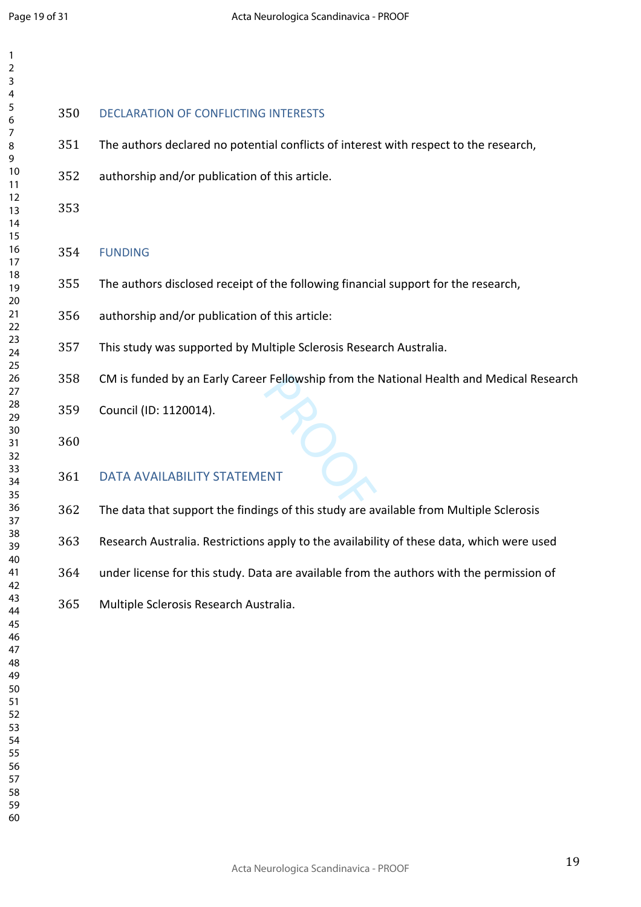| 1                          |     |                                                                                           |
|----------------------------|-----|-------------------------------------------------------------------------------------------|
| 2<br>3                     |     |                                                                                           |
| 4                          |     |                                                                                           |
| 5<br>6                     | 350 | <b>DECLARATION OF CONFLICTING INTERESTS</b>                                               |
| $\boldsymbol{7}$<br>8<br>9 | 351 | The authors declared no potential conflicts of interest with respect to the research,     |
| 10<br>11                   | 352 | authorship and/or publication of this article.                                            |
| 12<br>13<br>14             | 353 |                                                                                           |
| 15<br>16<br>17             | 354 | <b>FUNDING</b>                                                                            |
| 18<br>19                   | 355 | The authors disclosed receipt of the following financial support for the research,        |
| 20<br>21<br>22             | 356 | authorship and/or publication of this article:                                            |
| 23<br>24<br>25             | 357 | This study was supported by Multiple Sclerosis Research Australia.                        |
| 26<br>27                   | 358 | CM is funded by an Early Career Fellowship from the National Health and Medical Research  |
| 28<br>29<br>30             | 359 | Council (ID: 1120014).                                                                    |
| 31<br>32                   | 360 |                                                                                           |
| 33<br>34<br>35             | 361 | <b>DATA AVAILABILITY STATEMENT</b>                                                        |
| 36<br>37                   | 362 | The data that support the findings of this study are available from Multiple Sclerosis    |
| 38<br>39<br>40             | 363 | Research Australia. Restrictions apply to the availability of these data, which were used |
| 41<br>42                   | 364 | under license for this study. Data are available from the authors with the permission of  |
| 43<br>44<br>45             | 365 | Multiple Sclerosis Research Australia.                                                    |
| 46<br>47<br>48             |     |                                                                                           |
| 49<br>50                   |     |                                                                                           |
| 51<br>52                   |     |                                                                                           |
| 53<br>54                   |     |                                                                                           |
| 55<br>56                   |     |                                                                                           |

- 
- 
-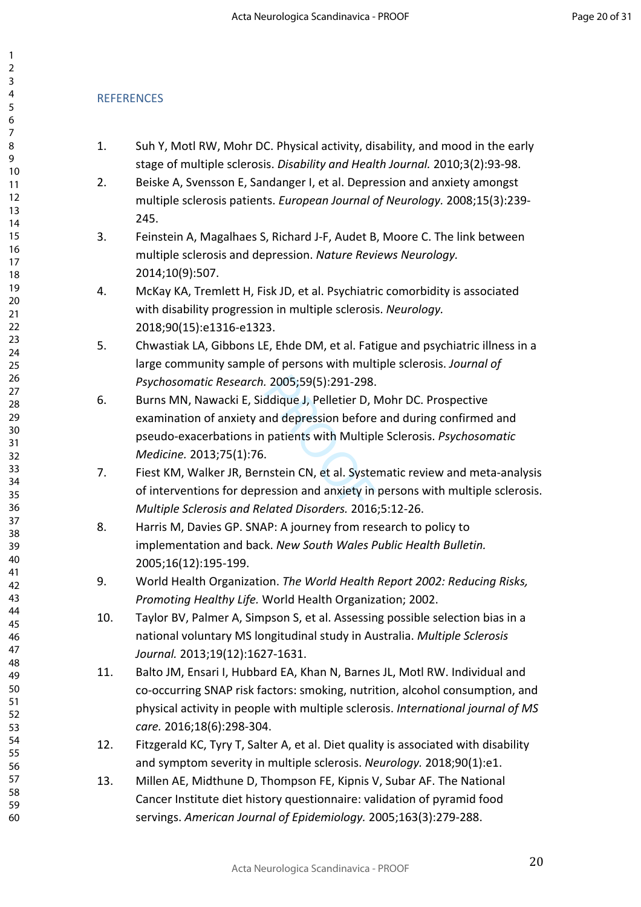### **REFERENCES**

- 1. Suh Y, Motl RW, Mohr DC. Physical activity, disability, and mood in the early stage of multiple sclerosis. *Disability and Health Journal.* 2010;3(2):93-98.
- 2. Beiske A, Svensson E, Sandanger I, et al. Depression and anxiety amongst multiple sclerosis patients. *European Journal of Neurology.* 2008;15(3):239- 245.
- 3. Feinstein A, Magalhaes S, Richard J-F, Audet B, Moore C. The link between multiple sclerosis and depression. *Nature Reviews Neurology.*  2014;10(9):507.
- 4. McKay KA, Tremlett H, Fisk JD, et al. Psychiatric comorbidity is associated with disability progression in multiple sclerosis. *Neurology.*  2018;90(15):e1316-e1323.
- 5. Chwastiak LA, Gibbons LE, Ehde DM, et al. Fatigue and psychiatric illness in a large community sample of persons with multiple sclerosis. *Journal of Psychosomatic Research.* 2005;59(5):291-298.
- 2005;59(5):291-298.<br>ddique J, Pelletier D, N<br>nd depression before<br>patients with Multipl<br>.<br>nstein CN, et al. Syster<br>ression and anxiety in 6. Burns MN, Nawacki E, Siddique J, Pelletier D, Mohr DC. Prospective examination of anxiety and depression before and during confirmed and pseudo-exacerbations in patients with Multiple Sclerosis. *Psychosomatic Medicine.* 2013;75(1):76.
- 7. Fiest KM, Walker JR, Bernstein CN, et al. Systematic review and meta-analysis of interventions for depression and anxiety in persons with multiple sclerosis. *Multiple Sclerosis and Related Disorders.* 2016;5:12-26.
- 8. Harris M, Davies GP. SNAP: A journey from research to policy to implementation and back. *New South Wales Public Health Bulletin.*  2005;16(12):195-199.
- 9. World Health Organization. *The World Health Report 2002: Reducing Risks, Promoting Healthy Life.* World Health Organization; 2002.
- 10. Taylor BV, Palmer A, Simpson S, et al. Assessing possible selection bias in a national voluntary MS longitudinal study in Australia. *Multiple Sclerosis Journal.* 2013;19(12):1627-1631.
- 11. Balto JM, Ensari I, Hubbard EA, Khan N, Barnes JL, Motl RW. Individual and co-occurring SNAP risk factors: smoking, nutrition, alcohol consumption, and physical activity in people with multiple sclerosis. *International journal of MS care.* 2016;18(6):298-304.
- 12. Fitzgerald KC, Tyry T, Salter A, et al. Diet quality is associated with disability and symptom severity in multiple sclerosis. *Neurology.* 2018;90(1):e1.
- 13. Millen AE, Midthune D, Thompson FE, Kipnis V, Subar AF. The National Cancer Institute diet history questionnaire: validation of pyramid food servings. *American Journal of Epidemiology.* 2005;163(3):279-288.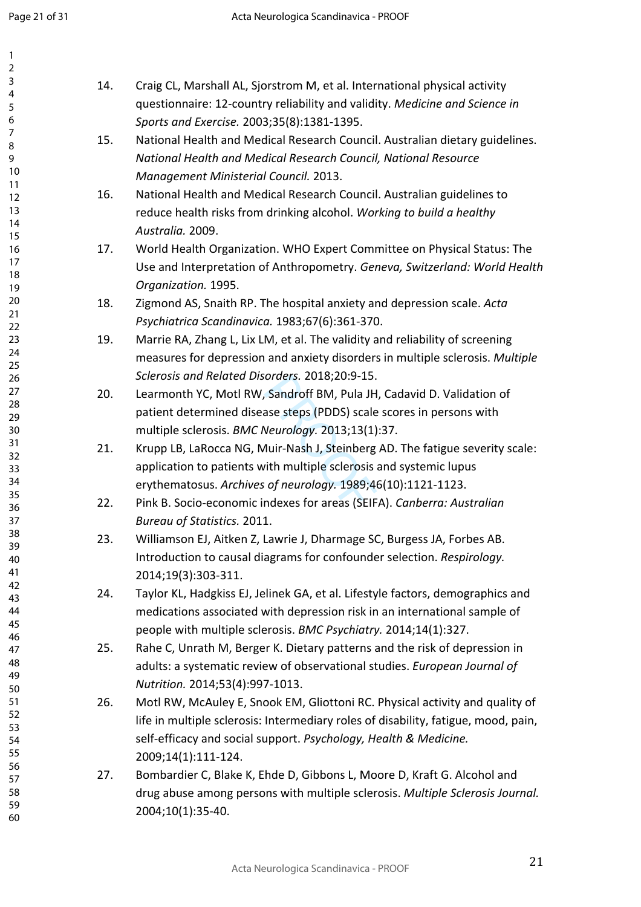| $\overline{2}$  |                                                                                    |
|-----------------|------------------------------------------------------------------------------------|
| 3<br>14.        | Craig CL, Marshall AL, Sjorstrom M, et al. International physical activity         |
| 4<br>5          | questionnaire: 12-country reliability and validity. Medicine and Science in        |
| 6               | Sports and Exercise. 2003;35(8):1381-1395.                                         |
| 7<br>15.        | National Health and Medical Research Council. Australian dietary guidelines.       |
| 8<br>9          | National Health and Medical Research Council, National Resource                    |
| 10              | Management Ministerial Council. 2013.                                              |
| 11              |                                                                                    |
| 16.<br>12<br>13 | National Health and Medical Research Council. Australian guidelines to             |
| 14              | reduce health risks from drinking alcohol. Working to build a healthy              |
| 15              | Australia. 2009.                                                                   |
| 16<br>17.       | World Health Organization. WHO Expert Committee on Physical Status: The            |
| 17<br>18        | Use and Interpretation of Anthropometry. Geneva, Switzerland: World Health         |
| 19              | Organization. 1995.                                                                |
| 20<br>18.       | Zigmond AS, Snaith RP. The hospital anxiety and depression scale. Acta             |
| 21<br>22        | Psychiatrica Scandinavica. 1983;67(6):361-370.                                     |
| 23<br>19.       | Marrie RA, Zhang L, Lix LM, et al. The validity and reliability of screening       |
| 24              | measures for depression and anxiety disorders in multiple sclerosis. Multiple      |
| 25<br>26        | Sclerosis and Related Disorders. 2018;20:9-15.                                     |
| 27<br>20.       | Learmonth YC, Motl RW, Sandroff BM, Pula JH, Cadavid D. Validation of              |
| 28              | patient determined disease steps (PDDS) scale scores in persons with               |
| 29<br>30        | multiple sclerosis. BMC Neurology. 2013;13(1):37.                                  |
| 31<br>21.       | Krupp LB, LaRocca NG, Muir-Nash J, Steinberg AD. The fatigue severity scale:       |
| 32              | application to patients with multiple sclerosis and systemic lupus                 |
| 33<br>34        |                                                                                    |
| 35              | erythematosus. Archives of neurology. 1989;46(10):1121-1123.                       |
| 22.<br>36       | Pink B. Socio-economic indexes for areas (SEIFA). Canberra: Australian             |
| 37<br>38        | <b>Bureau of Statistics. 2011.</b>                                                 |
| 23.<br>39       | Williamson EJ, Aitken Z, Lawrie J, Dharmage SC, Burgess JA, Forbes AB.             |
| 40              | Introduction to causal diagrams for confounder selection. Respirology.             |
| 41<br>42        | 2014;19(3):303-311.                                                                |
| 24.<br>43       | Taylor KL, Hadgkiss EJ, Jelinek GA, et al. Lifestyle factors, demographics and     |
| 44              | medications associated with depression risk in an international sample of          |
| 45              | people with multiple sclerosis. BMC Psychiatry. 2014;14(1):327.                    |
| 46<br>25.<br>47 | Rahe C, Unrath M, Berger K. Dietary patterns and the risk of depression in         |
| 48              | adults: a systematic review of observational studies. European Journal of          |
| 49              | Nutrition. 2014;53(4):997-1013.                                                    |
| 50<br>51<br>26. | Motl RW, McAuley E, Snook EM, Gliottoni RC. Physical activity and quality of       |
| 52              | life in multiple sclerosis: Intermediary roles of disability, fatigue, mood, pain, |
| 53              |                                                                                    |
| 54<br>55        | self-efficacy and social support. Psychology, Health & Medicine.                   |
| 56              | 2009;14(1):111-124.                                                                |
| 27.<br>57       | Bombardier C, Blake K, Ehde D, Gibbons L, Moore D, Kraft G. Alcohol and            |
| 58<br>59        | drug abuse among persons with multiple sclerosis. Multiple Sclerosis Journal.      |
| 60              | 2004;10(1):35-40.                                                                  |
|                 |                                                                                    |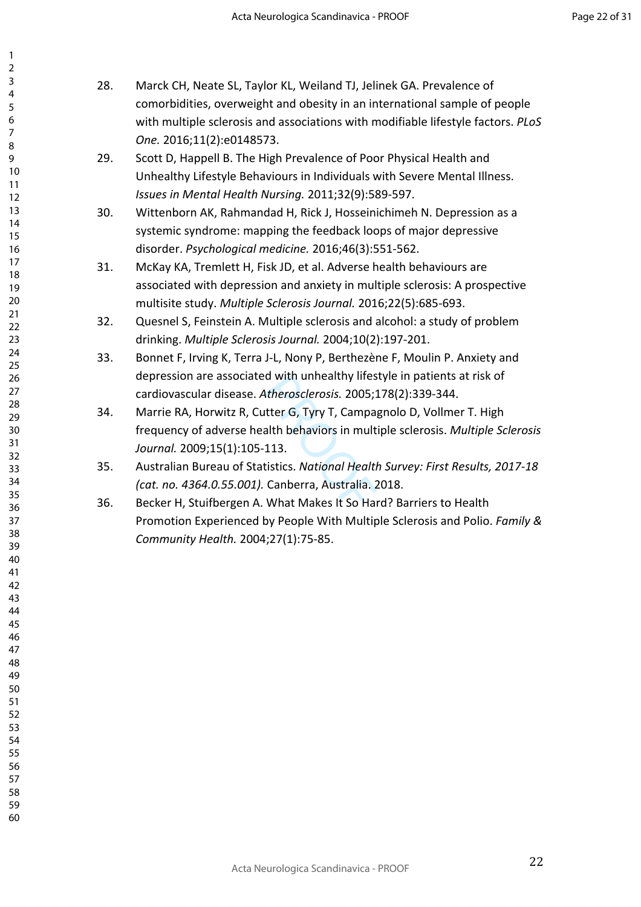| 2                                |  |
|----------------------------------|--|
| 3                                |  |
|                                  |  |
| 4                                |  |
| 5                                |  |
|                                  |  |
| 6<br>7                           |  |
|                                  |  |
| 8                                |  |
| 9                                |  |
| 10                               |  |
|                                  |  |
| $\overline{11}$                  |  |
| 12<br>13<br>14<br>15<br>16<br>17 |  |
|                                  |  |
|                                  |  |
|                                  |  |
|                                  |  |
|                                  |  |
|                                  |  |
| 18                               |  |
| 19                               |  |
| 20                               |  |
|                                  |  |
| ∠ง<br>21<br>วว                   |  |
| 22                               |  |
| 23                               |  |
|                                  |  |
| 24                               |  |
| 25                               |  |
|                                  |  |
| 26<br>27                         |  |
| 28                               |  |
|                                  |  |
| .<br>29<br>30                    |  |
|                                  |  |
| -<br>31                          |  |
| $\frac{1}{32}$                   |  |
|                                  |  |
| -<br>33                          |  |
| -<br>34                          |  |
| 35                               |  |
|                                  |  |
| 36<br>37                         |  |
|                                  |  |
| 38                               |  |
| 39                               |  |
|                                  |  |
| 40                               |  |
| 41                               |  |
| 42                               |  |
| 43                               |  |
|                                  |  |
| 44                               |  |
| 45                               |  |
| 46                               |  |
| 47                               |  |
|                                  |  |
| 48                               |  |
| 49                               |  |
| 50                               |  |
| 51                               |  |
|                                  |  |
| 52                               |  |
| 53                               |  |
| 54                               |  |
| 55                               |  |
|                                  |  |
| 56                               |  |
| 57                               |  |
| 58                               |  |
| 59<br>€                          |  |
|                                  |  |

- 28. Marck CH, Neate SL, Taylor KL, Weiland TJ, Jelinek GA. Prevalence of comorbidities, overweight and obesity in an international sample of people with multiple sclerosis and associations with modifiable lifestyle factors. *PLoS One.* 2016;11(2):e0148573.
	- 29. Scott D, Happell B. The High Prevalence of Poor Physical Health and Unhealthy Lifestyle Behaviours in Individuals with Severe Mental Illness. *Issues in Mental Health Nursing.* 2011;32(9):589-597.
	- 30. Wittenborn AK, Rahmandad H, Rick J, Hosseinichimeh N. Depression as a systemic syndrome: mapping the feedback loops of major depressive disorder. *Psychological medicine.* 2016;46(3):551-562.
	- 31. McKay KA, Tremlett H, Fisk JD, et al. Adverse health behaviours are associated with depression and anxiety in multiple sclerosis: A prospective multisite study. *Multiple Sclerosis Journal.* 2016;22(5):685-693.
	- 32. Quesnel S, Feinstein A. Multiple sclerosis and alcohol: a study of problem drinking. *Multiple Sclerosis Journal.* 2004;10(2):197-201.
	- 33. Bonnet F, Irving K, Terra J-L, Nony P, Berthezène F, Moulin P. Anxiety and depression are associated with unhealthy lifestyle in patients at risk of cardiovascular disease. *Atherosclerosis.* 2005;178(2):339-344.
	- a with unneaithy lifes<br>At*herosclerosis.* 2005;<br>Itter G, Tyry T, Campa,<br>alth behaviors in mult<br>113.<br>tistics. *National Health*<br>Canberra, Australia. 2<br>What Makes It So Hal 34. Marrie RA, Horwitz R, Cutter G, Tyry T, Campagnolo D, Vollmer T. High frequency of adverse health behaviors in multiple sclerosis. *Multiple Sclerosis Journal.* 2009;15(1):105-113.
	- 35. Australian Bureau of Statistics. *National Health Survey: First Results, 2017-18 (cat. no. 4364.0.55.001).* Canberra, Australia. 2018.
	- 36. Becker H, Stuifbergen A. What Makes It So Hard? Barriers to Health Promotion Experienced by People With Multiple Sclerosis and Polio. *Family & Community Health.* 2004;27(1):75-85.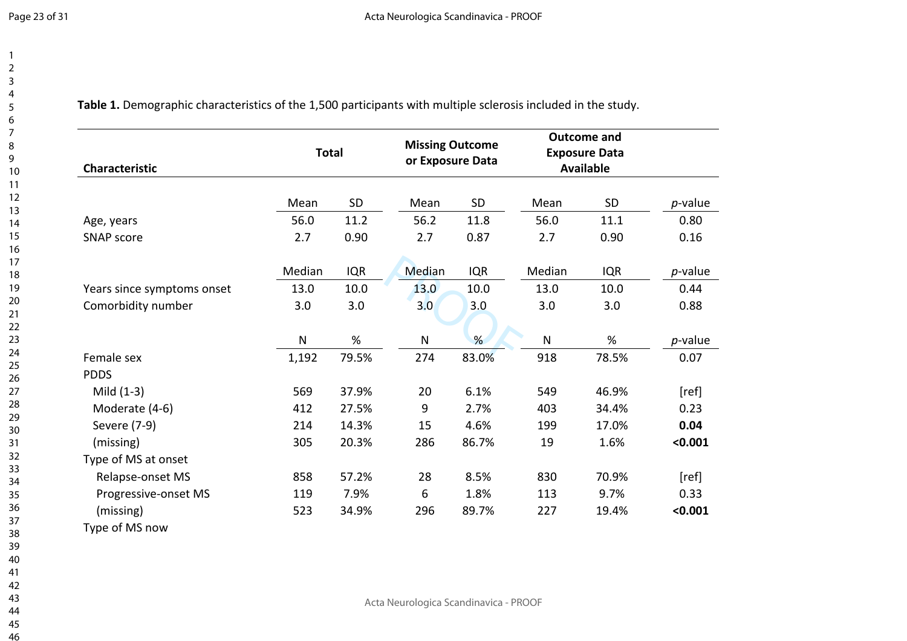**Table 1.** Demographic characteristics of the 1,500 participants with multiple sclerosis included in the study.

| Characteristic             | <b>Total</b> |            | <b>Missing Outcome</b><br>or Exposure Data |            | <b>Outcome and</b><br><b>Exposure Data</b><br><b>Available</b> |            |         |
|----------------------------|--------------|------------|--------------------------------------------|------------|----------------------------------------------------------------|------------|---------|
|                            | Mean         | SD         | Mean                                       | SD         | Mean                                                           | SD         | p-value |
| Age, years                 | 56.0         | 11.2       | 56.2                                       | 11.8       | 56.0                                                           | 11.1       | 0.80    |
| <b>SNAP score</b>          | 2.7          | 0.90       | 2.7                                        | 0.87       | 2.7                                                            | 0.90       | 0.16    |
|                            | Median       | <b>IQR</b> | Median                                     | <b>IQR</b> | Median                                                         | <b>IQR</b> | p-value |
| Years since symptoms onset | 13.0         | 10.0       | 13.0                                       | 10.0       | 13.0                                                           | 10.0       | 0.44    |
| Comorbidity number         | 3.0          | 3.0        | 3.0 <sub>2</sub>                           | 3.0        | 3.0                                                            | 3.0        | 0.88    |
|                            | ${\sf N}$    | %          | N                                          | %          | $\mathsf{N}$                                                   | $\%$       | p-value |
| Female sex                 | 1,192        | 79.5%      | 274                                        | 83.0%      | 918                                                            | 78.5%      | 0.07    |
| <b>PDDS</b>                |              |            |                                            |            |                                                                |            |         |
| Mild $(1-3)$               | 569          | 37.9%      | 20                                         | 6.1%       | 549                                                            | 46.9%      | [ref]   |
| Moderate (4-6)             | 412          | 27.5%      | 9                                          | 2.7%       | 403                                                            | 34.4%      | 0.23    |
| Severe (7-9)               | 214          | 14.3%      | 15                                         | 4.6%       | 199                                                            | 17.0%      | 0.04    |
| (missing)                  | 305          | 20.3%      | 286                                        | 86.7%      | 19                                                             | 1.6%       | < 0.001 |
| Type of MS at onset        |              |            |                                            |            |                                                                |            |         |
| Relapse-onset MS           | 858          | 57.2%      | 28                                         | 8.5%       | 830                                                            | 70.9%      | [ref]   |
| Progressive-onset MS       | 119          | 7.9%       | 6                                          | 1.8%       | 113                                                            | 9.7%       | 0.33    |
| (missing)                  | 523          | 34.9%      | 296                                        | 89.7%      | 227                                                            | 19.4%      | < 0.001 |
| Type of MS now             |              |            |                                            |            |                                                                |            |         |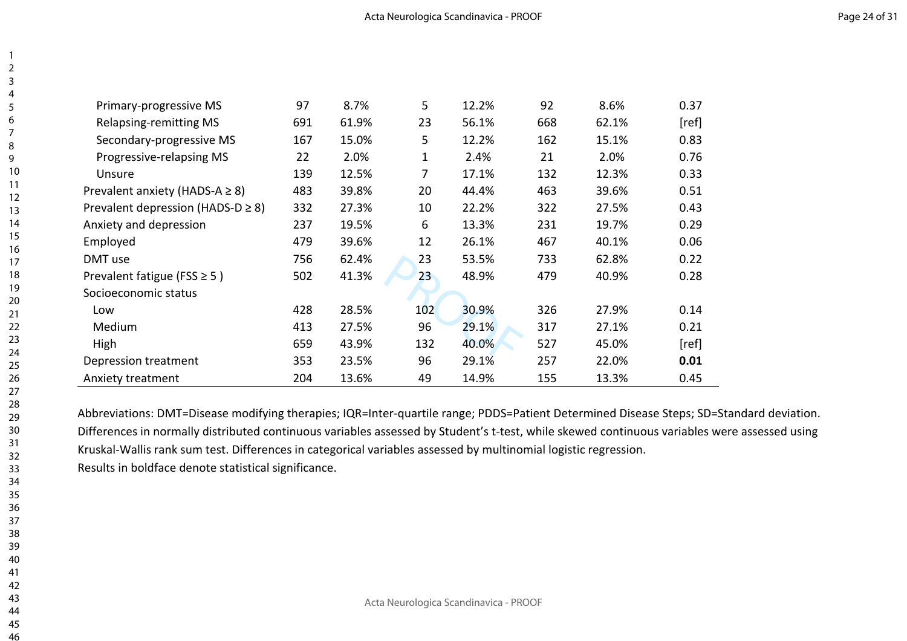| Primary-progressive MS                 | 97  | 8.7%  | 5           | 12.2% | 92  | 8.6%  | 0.37  |
|----------------------------------------|-----|-------|-------------|-------|-----|-------|-------|
| <b>Relapsing-remitting MS</b>          | 691 | 61.9% | 23          | 56.1% | 668 | 62.1% | [ref] |
| Secondary-progressive MS               | 167 | 15.0% | 5           | 12.2% | 162 | 15.1% | 0.83  |
| Progressive-relapsing MS               | 22  | 2.0%  | $\mathbf 1$ | 2.4%  | 21  | 2.0%  | 0.76  |
| Unsure                                 | 139 | 12.5% | 7           | 17.1% | 132 | 12.3% | 0.33  |
| Prevalent anxiety (HADS-A $\geq$ 8)    | 483 | 39.8% | 20          | 44.4% | 463 | 39.6% | 0.51  |
| Prevalent depression (HADS-D $\geq$ 8) | 332 | 27.3% | 10          | 22.2% | 322 | 27.5% | 0.43  |
| Anxiety and depression                 | 237 | 19.5% | 6           | 13.3% | 231 | 19.7% | 0.29  |
| Employed                               | 479 | 39.6% | 12          | 26.1% | 467 | 40.1% | 0.06  |
| DMT use                                | 756 | 62.4% | 23          | 53.5% | 733 | 62.8% | 0.22  |
| Prevalent fatigue (FSS $\geq$ 5)       | 502 | 41.3% | 23          | 48.9% | 479 | 40.9% | 0.28  |
| Socioeconomic status                   |     |       |             |       |     |       |       |
| Low                                    | 428 | 28.5% | 102         | 30.9% | 326 | 27.9% | 0.14  |
| Medium                                 | 413 | 27.5% | 96          | 29.1% | 317 | 27.1% | 0.21  |
| High                                   | 659 | 43.9% | 132         | 40.0% | 527 | 45.0% | [ref] |
| Depression treatment                   | 353 | 23.5% | 96          | 29.1% | 257 | 22.0% | 0.01  |
| Anxiety treatment                      | 204 | 13.6% | 49          | 14.9% | 155 | 13.3% | 0.45  |

Abbreviations: DMT=Disease modifying therapies; IQR=Inter-quartile range; PDDS=Patient Determined Disease Steps; SD=Standard deviation. Differences in normally distributed continuous variables assessed by Student's t-test, while skewed continuous variables were assessed using Kruskal-Wallis rank sum test. Differences in categorical variables assessed by multinomial logistic regression. Results in boldface denote statistical significance.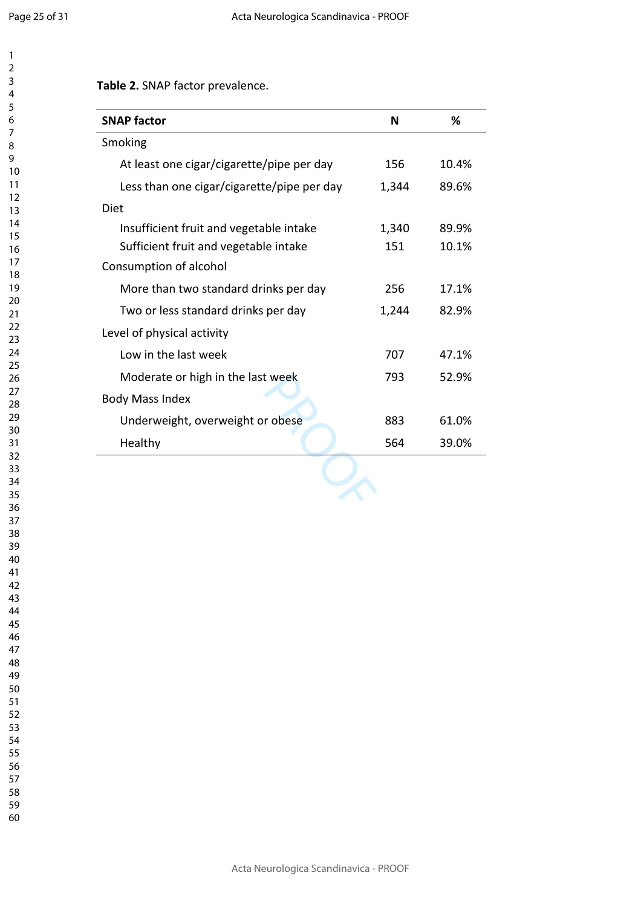**Table 2.** SNAP factor prevalence.

| <b>SNAP factor</b>                         | N     | %     |
|--------------------------------------------|-------|-------|
| Smoking                                    |       |       |
| At least one cigar/cigarette/pipe per day  | 156   | 10.4% |
| Less than one cigar/cigarette/pipe per day | 1,344 | 89.6% |
| Diet                                       |       |       |
| Insufficient fruit and vegetable intake    | 1,340 | 89.9% |
| Sufficient fruit and vegetable intake      | 151   | 10.1% |
| Consumption of alcohol                     |       |       |
| More than two standard drinks per day      | 256   | 17.1% |
| Two or less standard drinks per day        | 1,244 | 82.9% |
| Level of physical activity                 |       |       |
| Low in the last week                       | 707   | 47.1% |
| Moderate or high in the last week          | 793   | 52.9% |
| <b>Body Mass Index</b>                     |       |       |
| Underweight, overweight or obese           | 883   | 61.0% |
|                                            | 564   | 39.0% |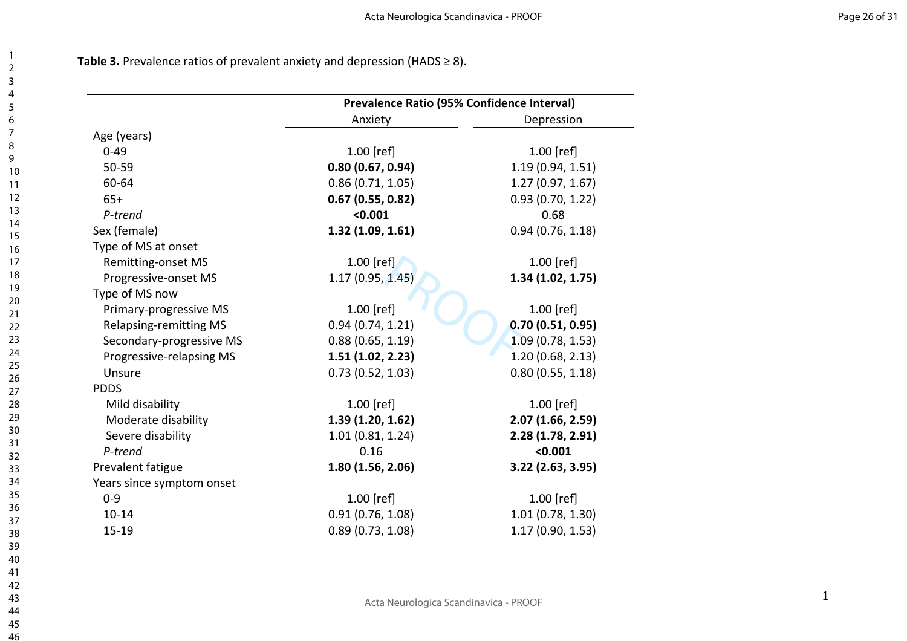**Table 3.** Prevalence ratios of prevalent anxiety and depression (HADS ≥ 8).

|                               | <b>Prevalence Ratio (95% Confidence Interval)</b> |                   |  |  |
|-------------------------------|---------------------------------------------------|-------------------|--|--|
|                               | Anxiety                                           | Depression        |  |  |
| Age (years)                   |                                                   |                   |  |  |
| $0 - 49$                      | $1.00$ [ref]                                      | 1.00 [ref]        |  |  |
| 50-59                         | 0.80(0.67, 0.94)                                  | 1.19(0.94, 1.51)  |  |  |
| 60-64                         | 0.86(0.71, 1.05)                                  | 1.27(0.97, 1.67)  |  |  |
| $65+$                         | 0.67(0.55, 0.82)                                  | 0.93(0.70, 1.22)  |  |  |
| P-trend                       | < 0.001                                           | 0.68              |  |  |
| Sex (female)                  | 1.32(1.09, 1.61)                                  | 0.94(0.76, 1.18)  |  |  |
| Type of MS at onset           |                                                   |                   |  |  |
| Remitting-onset MS            | $1.00$ [ref]                                      | 1.00 [ref]        |  |  |
| Progressive-onset MS          | 1.17(0.95, 1.45)                                  | 1.34(1.02, 1.75)  |  |  |
| Type of MS now                |                                                   |                   |  |  |
| Primary-progressive MS        | $1.00$ [ref]                                      | 1.00 [ref]        |  |  |
| <b>Relapsing-remitting MS</b> | 0.94(0.74, 1.21)                                  | 0.70(0.51, 0.95)  |  |  |
| Secondary-progressive MS      | 0.88(0.65, 1.19)                                  | 1.09(0.78, 1.53)  |  |  |
| Progressive-relapsing MS      | 1.51(1.02, 2.23)                                  | 1.20(0.68, 2.13)  |  |  |
| Unsure                        | 0.73(0.52, 1.03)                                  | 0.80(0.55, 1.18)  |  |  |
| <b>PDDS</b>                   |                                                   |                   |  |  |
| Mild disability               | $1.00$ [ref]                                      | 1.00 [ref]        |  |  |
| Moderate disability           | 1.39(1.20, 1.62)                                  | 2.07(1.66, 2.59)  |  |  |
| Severe disability             | 1.01(0.81, 1.24)                                  | 2.28(1.78, 2.91)  |  |  |
| P-trend                       | 0.16                                              | < 0.001           |  |  |
| Prevalent fatigue             | 1.80(1.56, 2.06)                                  | 3.22 (2.63, 3.95) |  |  |
| Years since symptom onset     |                                                   |                   |  |  |
| $0 - 9$                       | $1.00$ [ref]                                      | 1.00 [ref]        |  |  |
| $10 - 14$                     | 0.91(0.76, 1.08)                                  | 1.01(0.78, 1.30)  |  |  |
| $15 - 19$                     | 0.89(0.73, 1.08)                                  | 1.17(0.90, 1.53)  |  |  |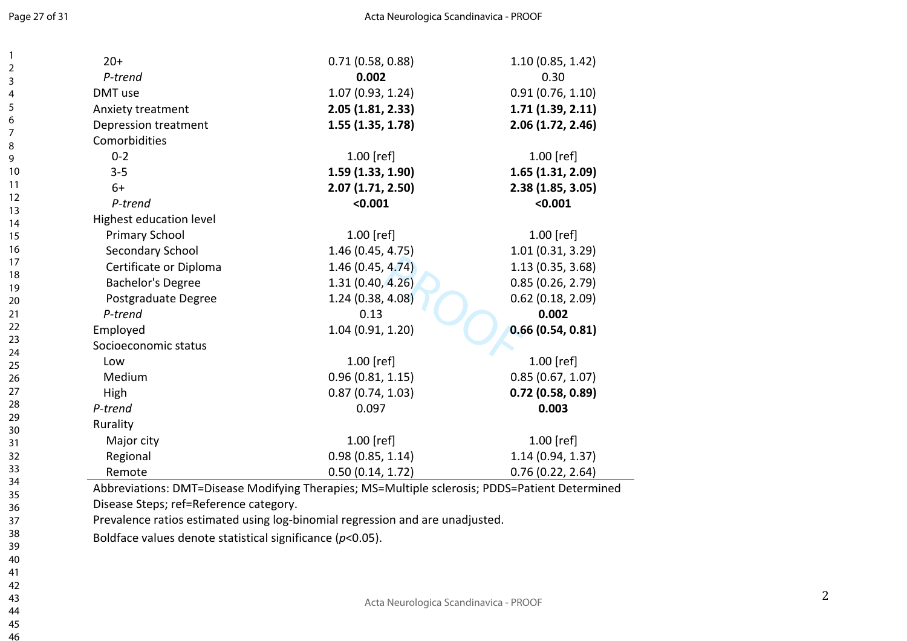$\overline{1}$  $\overline{2}$  $\overline{3}$  $\overline{4}$ 5 6  $\overline{7}$ 8 9

| $20+$                    | 0.71(0.58, 0.88)  | 1.10(0.85, 1.42)    |
|--------------------------|-------------------|---------------------|
| P-trend                  | 0.002             | 0.30                |
| DMT use                  | 1.07(0.93, 1.24)  | 0.91(0.76, 1.10)    |
| Anxiety treatment        | 2.05 (1.81, 2.33) | 1.71(1.39, 2.11)    |
| Depression treatment     | 1.55(1.35, 1.78)  | 2.06(1.72, 2.46)    |
| Comorbidities            |                   |                     |
| $0 - 2$                  | 1.00 [ref]        | $1.00$ [ref]        |
| $3 - 5$                  | 1.59(1.33, 1.90)  | 1.65(1.31, 2.09)    |
| $6+$                     | 2.07(1.71, 2.50)  | 2.38(1.85, 3.05)    |
| P-trend                  | < 0.001           | < 0.001             |
| Highest education level  |                   |                     |
| <b>Primary School</b>    | $1.00$ [ref]      | $1.00$ [ref]        |
| Secondary School         | 1.46 (0.45, 4.75) | 1.01(0.31, 3.29)    |
| Certificate or Diploma   | 1.46(0.45, 4.74)  | 1.13(0.35, 3.68)    |
| <b>Bachelor's Degree</b> | 1.31(0.40, 4.26)  | 0.85(0.26, 2.79)    |
| Postgraduate Degree      | 1.24(0.38, 4.08)  | $0.62$ (0.18, 2.09) |
| P-trend                  | 0.13              | 0.002               |
| Employed                 | 1.04(0.91, 1.20)  | 0.66(0.54, 0.81)    |
| Socioeconomic status     |                   |                     |
| Low                      | $1.00$ [ref]      | $1.00$ [ref]        |
| Medium                   | 0.96(0.81, 1.15)  | 0.85(0.67, 1.07)    |
| High                     | 0.87(0.74, 1.03)  | 0.72(0.58, 0.89)    |
| P-trend                  | 0.097             | 0.003               |
| Rurality                 |                   |                     |
| Major city               | $1.00$ [ref]      | $1.00$ [ref]        |
| Regional                 | 0.98(0.85, 1.14)  | 1.14(0.94, 1.37)    |
| Remote                   | 0.50(0.14, 1.72)  | 0.76(0.22, 2.64)    |

Disease Steps; ref=Reference category.

Prevalence ratios estimated using log-binomial regression and are unadjusted.

Boldface values denote statistical significance ( *p*<0.05).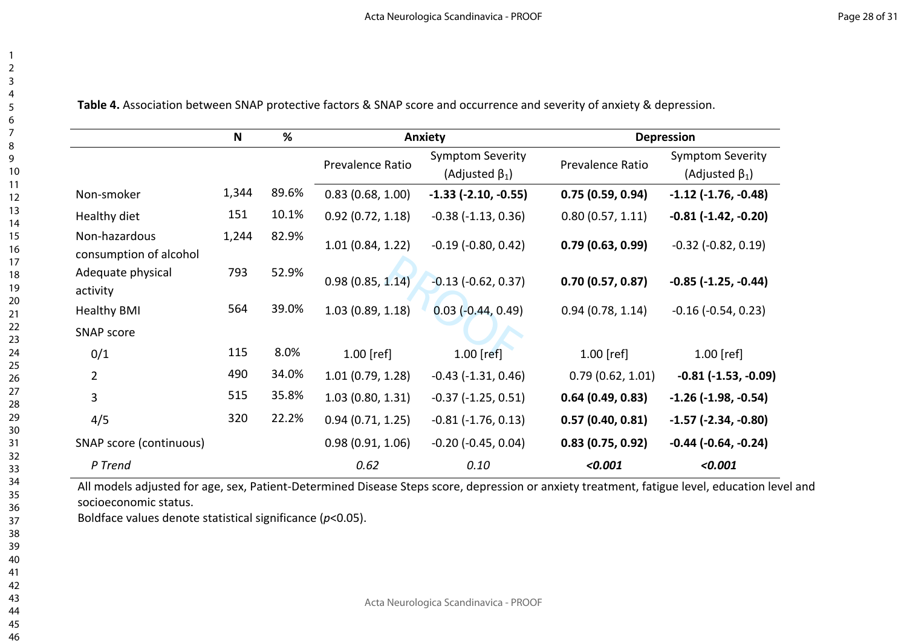| $\overline{c}$     |  |
|--------------------|--|
| 3                  |  |
| 4                  |  |
| 5                  |  |
|                    |  |
| 6<br>7             |  |
|                    |  |
| 8                  |  |
| 9                  |  |
| 10                 |  |
| $\overline{11}$    |  |
| $\overline{12}$    |  |
| $\overline{13}$    |  |
| $\frac{1}{4}$      |  |
| $\frac{15}{2}$     |  |
|                    |  |
| 16<br>17           |  |
| 18                 |  |
| 19                 |  |
| $\frac{20}{5}$     |  |
| - 21<br>-          |  |
|                    |  |
| י<br>22<br>?<br>23 |  |
| 24                 |  |
| 25                 |  |
|                    |  |
| 26                 |  |
| 27                 |  |
| 28                 |  |
| 29                 |  |
| 30                 |  |
| 31                 |  |
| 32                 |  |
| 33                 |  |
| 34                 |  |
| 35                 |  |
| 36                 |  |
| 37                 |  |
| 38                 |  |
| 39                 |  |
| 40                 |  |
| 41                 |  |
| 42                 |  |
| 43                 |  |
| 44                 |  |
| 45                 |  |

**Table 4.** Association between SNAP protective factors & SNAP score and occurrence and severity of anxiety & depression.

|                                         | N     | %     |                  | <b>Anxiety</b>                                   | <b>Depression</b> |                                                  |  |
|-----------------------------------------|-------|-------|------------------|--------------------------------------------------|-------------------|--------------------------------------------------|--|
|                                         |       |       | Prevalence Ratio | <b>Symptom Severity</b><br>(Adjusted $\beta_1$ ) | Prevalence Ratio  | <b>Symptom Severity</b><br>(Adjusted $\beta_1$ ) |  |
| Non-smoker                              | 1,344 | 89.6% | 0.83(0.68, 1.00) | $-1.33$ $(-2.10, -0.55)$                         | 0.75(0.59, 0.94)  | $-1.12$ $(-1.76, -0.48)$                         |  |
| Healthy diet                            | 151   | 10.1% | 0.92(0.72, 1.18) | $-0.38$ ( $-1.13$ , $0.36$ )                     | 0.80(0.57, 1.11)  | $-0.81$ $(-1.42, -0.20)$                         |  |
| Non-hazardous<br>consumption of alcohol | 1,244 | 82.9% | 1.01(0.84, 1.22) | $-0.19$ $(-0.80, 0.42)$                          | 0.79(0.63, 0.99)  | $-0.32$ $(-0.82, 0.19)$                          |  |
| Adequate physical<br>activity           | 793   | 52.9% | 0.98(0.85, 1.14) | $-0.13$ ( $-0.62$ , $0.37$ )                     | 0.70(0.57, 0.87)  | $-0.85$ ( $-1.25$ , $-0.44$ )                    |  |
| <b>Healthy BMI</b>                      | 564   | 39.0% | 1.03(0.89, 1.18) | $0.03$ ( $-0.44$ , 0.49)                         | 0.94(0.78, 1.14)  | $-0.16$ $(-0.54, 0.23)$                          |  |
| <b>SNAP score</b>                       |       |       |                  |                                                  |                   |                                                  |  |
| 0/1                                     | 115   | 8.0%  | $1.00$ [ref]     | $1.00$ [ref]                                     | $1.00$ [ref]      | $1.00$ [ref]                                     |  |
| $\overline{2}$                          | 490   | 34.0% | 1.01(0.79, 1.28) | $-0.43$ ( $-1.31$ , $0.46$ )                     | 0.79(0.62, 1.01)  | $-0.81$ ( $-1.53$ , $-0.09$ )                    |  |
| 3                                       | 515   | 35.8% | 1.03(0.80, 1.31) | $-0.37$ $(-1.25, 0.51)$                          | 0.64(0.49, 0.83)  | $-1.26$ ( $-1.98$ , $-0.54$ )                    |  |
| 4/5                                     | 320   | 22.2% | 0.94(0.71, 1.25) | $-0.81$ ( $-1.76$ , 0.13)                        | 0.57(0.40, 0.81)  | $-1.57$ ( $-2.34$ , $-0.80$ )                    |  |
| SNAP score (continuous)                 |       |       | 0.98(0.91, 1.06) | $-0.20$ ( $-0.45$ , $0.04$ )                     | 0.83(0.75, 0.92)  | $-0.44$ $(-0.64, -0.24)$                         |  |
| P Trend                                 |       |       | 0.62             | 0.10                                             | < 0.001           | < 0.001                                          |  |

All models adjusted for age, sex, Patient-Determined Disease Steps score, depression or anxiety treatment, fatigue level, education level and socioeconomic status.

Boldface values denote statistical significance (*p*<0.05).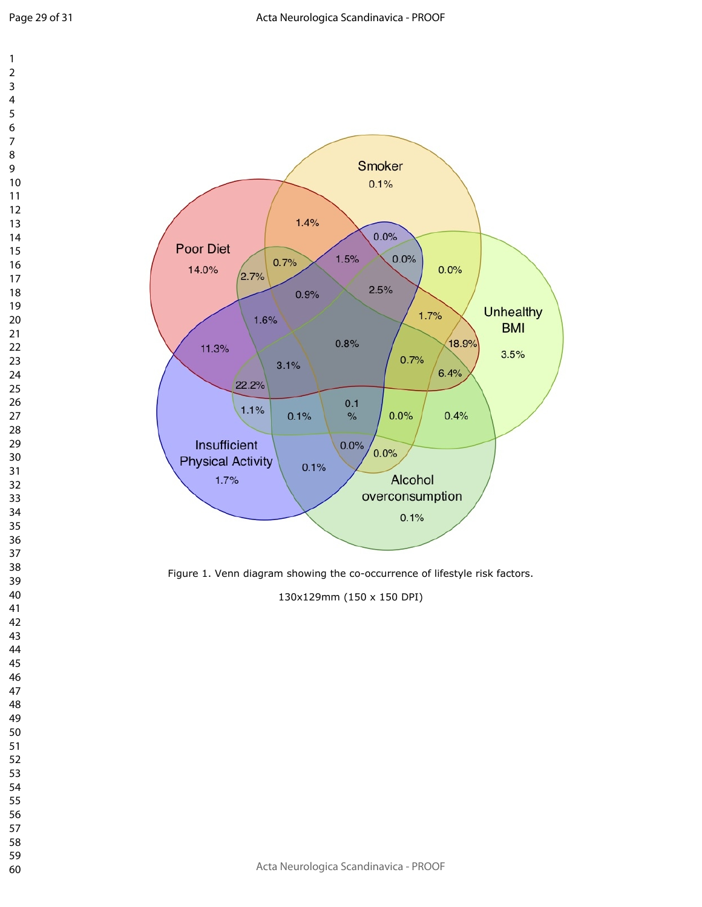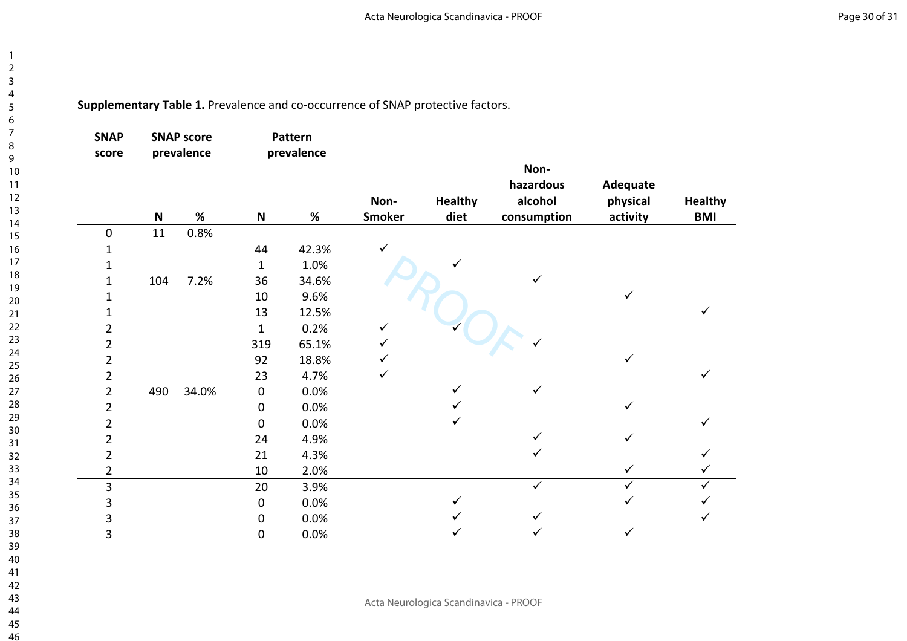**Supplementary Table 1.** Prevalence and co-occurrence of SNAP protective factors.

123456789

 $\overline{1}$  $\overline{2}$  $\overline{3}$  $\overline{4}$  $\overline{5}$ 6  $\overline{7}$ 8  $\overline{9}$ 

| <b>SNAP</b><br>score |     | <b>SNAP score</b><br>prevalence | Pattern<br>prevalence     |       |                       |                        |                                             |                                  |                              |
|----------------------|-----|---------------------------------|---------------------------|-------|-----------------------|------------------------|---------------------------------------------|----------------------------------|------------------------------|
|                      | N   | %                               | $\boldsymbol{\mathsf{N}}$ | %     | Non-<br><b>Smoker</b> | <b>Healthy</b><br>diet | Non-<br>hazardous<br>alcohol<br>consumption | Adequate<br>physical<br>activity | <b>Healthy</b><br><b>BMI</b> |
| 0                    | 11  | 0.8%                            |                           |       |                       |                        |                                             |                                  |                              |
| 1                    |     |                                 | 44                        | 42.3% | $\checkmark$          |                        |                                             |                                  |                              |
|                      |     |                                 | $\mathbf{1}$              | 1.0%  |                       |                        |                                             |                                  |                              |
|                      | 104 | 7.2%                            | 36                        | 34.6% |                       |                        |                                             |                                  |                              |
|                      |     |                                 | $10\,$                    | 9.6%  |                       |                        |                                             | ✓                                |                              |
|                      |     |                                 | 13                        | 12.5% |                       |                        |                                             |                                  | $\checkmark$                 |
| $\overline{2}$       |     |                                 | $\mathbf{1}$              | 0.2%  | ✓                     |                        |                                             |                                  |                              |
| 2                    |     |                                 | 319                       | 65.1% |                       |                        |                                             |                                  |                              |
| 2                    |     |                                 | 92                        | 18.8% |                       |                        |                                             | ✓                                |                              |
| 2                    |     |                                 | 23                        | 4.7%  |                       |                        |                                             |                                  |                              |
| 2                    | 490 | 34.0%                           | $\pmb{0}$                 | 0.0%  |                       |                        | ✓                                           |                                  |                              |
| 2                    |     |                                 | $\pmb{0}$                 | 0.0%  |                       |                        |                                             | ✓                                |                              |
| 2                    |     |                                 | $\mathbf 0$               | 0.0%  |                       |                        |                                             |                                  |                              |
| 2                    |     |                                 | 24                        | 4.9%  |                       |                        |                                             |                                  |                              |
| 2                    |     |                                 | 21                        | 4.3%  |                       |                        | ✓                                           |                                  |                              |
| 2                    |     |                                 | 10                        | 2.0%  |                       |                        |                                             | $\checkmark$                     |                              |
| 3                    |     |                                 | 20                        | 3.9%  |                       |                        | ✓                                           | ✓                                |                              |
| 3                    |     |                                 | $\mathbf 0$               | 0.0%  |                       |                        |                                             |                                  |                              |
| 3                    |     |                                 | $\mathbf 0$               | 0.0%  |                       |                        |                                             |                                  |                              |
| 3                    |     |                                 | $\mathbf 0$               | 0.0%  |                       |                        |                                             |                                  |                              |